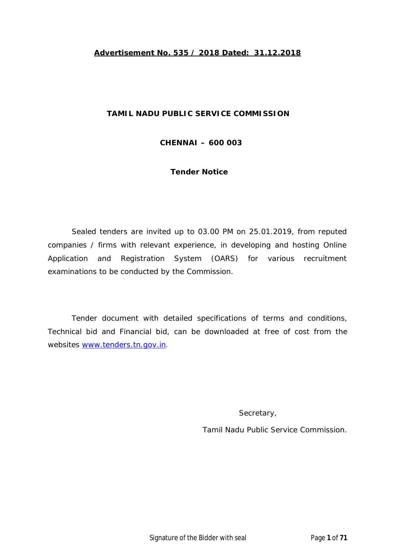#### **Advertisement No. 535 / 2018 Dated: 31.12.2018**

#### **TAMIL NADU PUBLIC SERVICE COMMISSION**

**CHENNAI – 600 003**

**Tender Notice**

Sealed tenders are invited up to 03.00 PM on 25.01.2019, from reputed companies / firms with relevant experience, in developing and hosting Online Application and Registration System (OARS) for various recruitment examinations to be conducted by the Commission.

Tender document with detailed specifications of terms and conditions, Technical bid and Financial bid, can be downloaded at free of cost from the websites www.tenders.tn.gov.in.

Secretary,

Tamil Nadu Public Service Commission.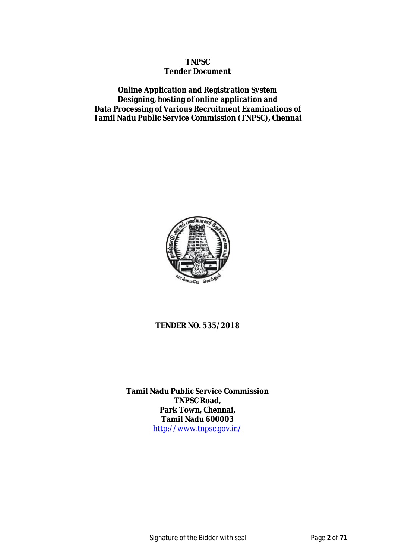#### **TNPSC Tender Document**

**Online Application and Registration System Designing, hosting of online application and Data Processing of Various Recruitment Examinations of Tamil Nadu Public Service Commission (TNPSC), Chennai**



#### **TENDER NO. 535/2018**

**Tamil Nadu Public Service Commission TNPSC Road, Park Town, Chennai, Tamil Nadu 600003** http://www.tnpsc.gov.in/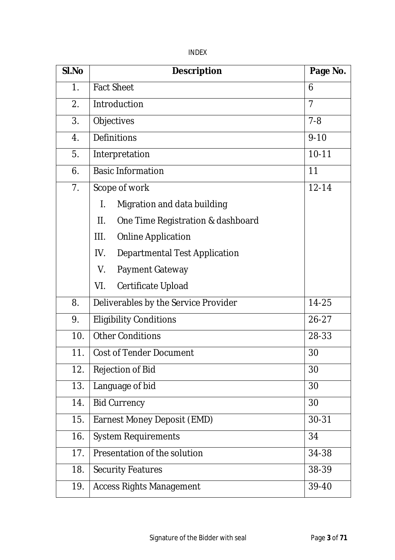|--|

| SI.No          | <b>Description</b>                           | Page No.  |
|----------------|----------------------------------------------|-----------|
| 1.             | <b>Fact Sheet</b>                            | 6         |
| 2.             | Introduction                                 | 7         |
| 3.             | Objectives                                   | $7 - 8$   |
| 4.             | Definitions                                  | $9 - 10$  |
| 5.             | Interpretation                               | $10 - 11$ |
| 6.             | <b>Basic Information</b>                     | 11        |
| 7 <sub>1</sub> | Scope of work                                | $12 - 14$ |
|                | Migration and data building<br>$\mathsf{L}$  |           |
|                | $\prod$<br>One Time Registration & dashboard |           |
|                | III.<br><b>Online Application</b>            |           |
|                | IV.<br><b>Departmental Test Application</b>  |           |
|                | Payment Gateway<br>V.                        |           |
|                | VI.<br>Certificate Upload                    |           |
| 8.             | Deliverables by the Service Provider         | 14-25     |
| 9.             | <b>Eligibility Conditions</b>                | $26 - 27$ |
| 10.            | <b>Other Conditions</b>                      | 28-33     |
| 11.            | <b>Cost of Tender Document</b>               | 30        |
| 12.            | <b>Rejection of Bid</b>                      | 30        |
| 13.            | Language of bid                              | 30        |
| 14.            | <b>Bid Currency</b>                          | 30        |
| 15.            | Earnest Money Deposit (EMD)                  | $30 - 31$ |
| 16.            | <b>System Requirements</b>                   | 34        |
| 17.            | Presentation of the solution                 | 34-38     |
| 18.            | <b>Security Features</b>                     | 38-39     |
| 19.            | <b>Access Rights Management</b>              | 39-40     |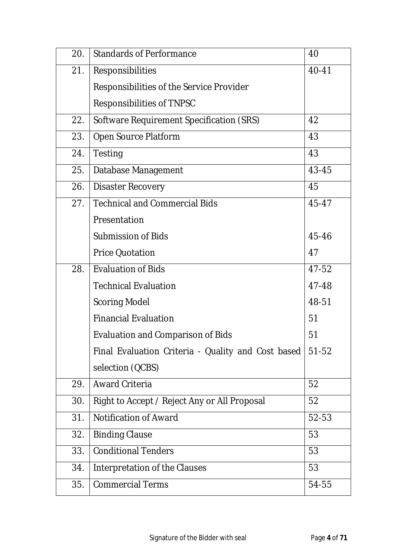| 20. | <b>Standards of Performance</b>                    | 40    |
|-----|----------------------------------------------------|-------|
| 21. | Responsibilities                                   | 40-41 |
|     | Responsibilities of the Service Provider           |       |
|     | Responsibilities of TNPSC                          |       |
| 22. | Software Requirement Specification (SRS)           | 42    |
| 23. | Open Source Platform                               | 43    |
| 24. | Testing                                            | 43    |
| 25. | Database Management                                | 43-45 |
| 26. | <b>Disaster Recovery</b>                           | 45    |
| 27. | <b>Technical and Commercial Bids</b>               | 45-47 |
|     | Presentation                                       |       |
|     | <b>Submission of Bids</b>                          | 45-46 |
|     | <b>Price Quotation</b>                             | 47    |
| 28. | <b>Evaluation of Bids</b>                          | 47-52 |
|     | <b>Technical Evaluation</b>                        | 47-48 |
|     | <b>Scoring Model</b>                               | 48-51 |
|     | <b>Financial Evaluation</b>                        | 51    |
|     | <b>Evaluation and Comparison of Bids</b>           | 51    |
|     | Final Evaluation Criteria - Quality and Cost based | 51-52 |
|     | selection (QCBS)                                   |       |
| 29. | <b>Award Criteria</b>                              | 52    |
| 30. | Right to Accept / Reject Any or All Proposal       | 52    |
| 31. | <b>Notification of Award</b>                       | 52-53 |
| 32. | <b>Binding Clause</b>                              | 53    |
| 33. | <b>Conditional Tenders</b>                         | 53    |
| 34. | Interpretation of the Clauses                      | 53    |
| 35. | <b>Commercial Terms</b>                            | 54-55 |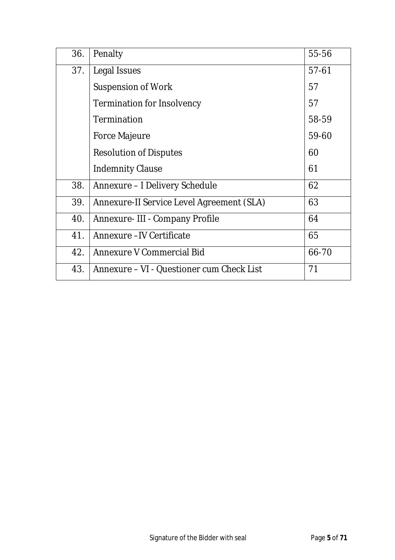| 36. | Penalty                                   | 55-56     |
|-----|-------------------------------------------|-----------|
| 37. | Legal Issues                              | $57 - 61$ |
|     | <b>Suspension of Work</b>                 | 57        |
|     | Termination for Insolvency                | 57        |
|     | <b>Termination</b>                        | 58-59     |
|     | <b>Force Majeure</b>                      | 59-60     |
|     | <b>Resolution of Disputes</b>             | 60        |
|     | <b>Indemnity Clause</b>                   | 61        |
| 38. | Annexure – I Delivery Schedule            | 62        |
| 39. | Annexure-II Service Level Agreement (SLA) | 63        |
| 40. | Annexure- III - Company Profile           | 64        |
| 41. | Annexure -IV Certificate                  | 65        |
| 42. | Annexure V Commercial Bid                 | 66-70     |
| 43. | Annexure - VI - Questioner cum Check List | 71        |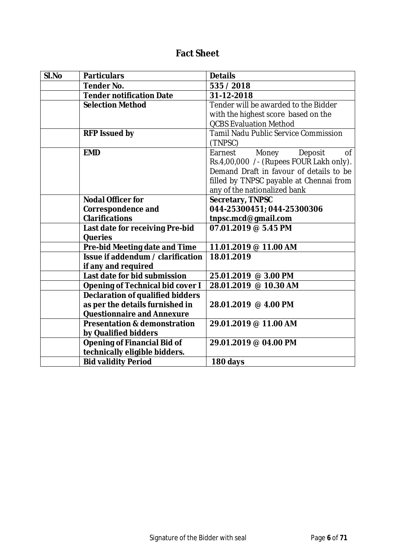#### **Fact Sheet**

| SI.No | <b>Particulars</b>                      | <b>Details</b>                                 |
|-------|-----------------------------------------|------------------------------------------------|
|       | <b>Tender No.</b>                       | 535 / 2018                                     |
|       | <b>Tender notification Date</b>         | 31-12-2018                                     |
|       | <b>Selection Method</b>                 | Tender will be awarded to the Bidder           |
|       |                                         | with the highest score based on the            |
|       |                                         | <b>QCBS Evaluation Method</b>                  |
|       | <b>RFP Issued by</b>                    | <b>Tamil Nadu Public Service Commission</b>    |
|       |                                         | (TNPSC)                                        |
|       | <b>EMD</b>                              | Earnest<br>Money<br>Deposit<br>$\overline{of}$ |
|       |                                         | Rs.4,00,000 /- (Rupees FOUR Lakh only).        |
|       |                                         | Demand Draft in favour of details to be        |
|       |                                         | filled by TNPSC payable at Chennai from        |
|       |                                         | any of the nationalized bank                   |
|       | <b>Nodal Officer for</b>                | <b>Secretary, TNPSC</b>                        |
|       | <b>Correspondence and</b>               | 044-25300451; 044-25300306                     |
|       | <b>Clarifications</b>                   | tnpsc.mcd@gmail.com                            |
|       | Last date for receiving Pre-bid         | 07.01.2019 @ 5.45 PM                           |
|       | <b>Queries</b>                          |                                                |
|       | Pre-bid Meeting date and Time           | 11.01.2019 @ 11.00 AM                          |
|       | Issue if addendum / clarification       | 18.01.2019                                     |
|       | if any and required                     |                                                |
|       | Last date for bid submission            | 25.01.2019 @ 3.00 PM                           |
|       | <b>Opening of Technical bid cover I</b> | 28.01.2019 @ 10.30 AM                          |
|       | <b>Declaration of qualified bidders</b> |                                                |
|       | as per the details furnished in         | 28.01.2019 @ 4.00 PM                           |
|       | <b>Questionnaire and Annexure</b>       |                                                |
|       | <b>Presentation &amp; demonstration</b> | 29.01.2019 @ 11.00 AM                          |
|       | by Qualified bidders                    |                                                |
|       | <b>Opening of Financial Bid of</b>      | 29.01.2019 @ 04.00 PM                          |
|       | technically eligible bidders.           |                                                |
|       | <b>Bid validity Period</b>              | 180 days                                       |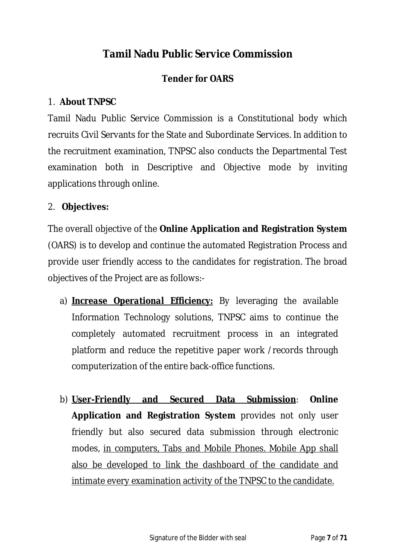# **Tamil Nadu Public Service Commission**

## **Tender for OARS**

#### 1. **About TNPSC**

Tamil Nadu Public Service Commission is a Constitutional body which recruits Civil Servants for the State and Subordinate Services. In addition to the recruitment examination, TNPSC also conducts the Departmental Test examination both in Descriptive and Objective mode by inviting applications through online.

#### 2. **Objectives:**

The overall objective of the **Online Application and Registration System** (OARS) is to develop and continue the automated Registration Process and provide user friendly access to the candidates for registration. The broad objectives of the Project are as follows:-

- a) *Increase Operational Efficiency:* By leveraging the available Information Technology solutions, TNPSC aims to continue the completely automated recruitment process in an integrated platform and reduce the repetitive paper work /records through computerization of the entire back-office functions.
- b) **User-Friendly and Secured Data Submission**: **Online Application and Registration System** provides not only user friendly but also secured data submission through electronic modes, in computers, Tabs and Mobile Phones. Mobile App shall also be developed to link the dashboard of the candidate and intimate every examination activity of the TNPSC to the candidate.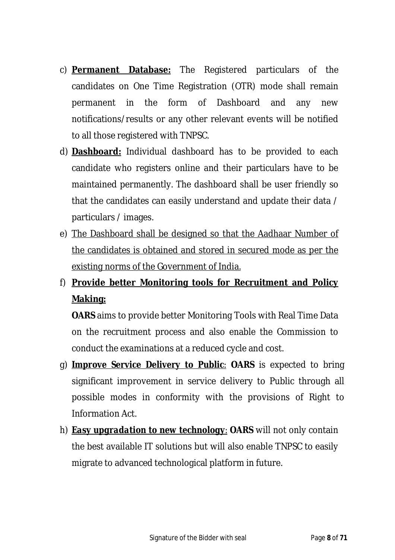- c) **Permanent Database:** The Registered particulars of the candidates on One Time Registration (OTR) mode shall remain permanent in the form of Dashboard and any new notifications/results or any other relevant events will be notified to all those registered with TNPSC.
- d) **Dashboard:** Individual dashboard has to be provided to each candidate who registers online and their particulars have to be maintained permanently. The dashboard shall be user friendly so that the candidates can easily understand and update their data / particulars / images.
- e) The Dashboard shall be designed so that the Aadhaar Number of the candidates is obtained and stored in secured mode as per the existing norms of the Government of India.

# f) **Provide better Monitoring tools for Recruitment and Policy Making:**

**OARS** aims to provide better Monitoring Tools with Real Time Data on the recruitment process and also enable the Commission to conduct the examinations at a reduced cycle and cost.

- g) *Improve Service Delivery to Public*: **OARS** is expected to bring significant improvement in service delivery to Public through all possible modes in conformity with the provisions of Right to Information Act.
- h) *Easy upgradation to new technology*: **OARS** will not only contain the best available IT solutions but will also enable TNPSC to easily migrate to advanced technological platform in future.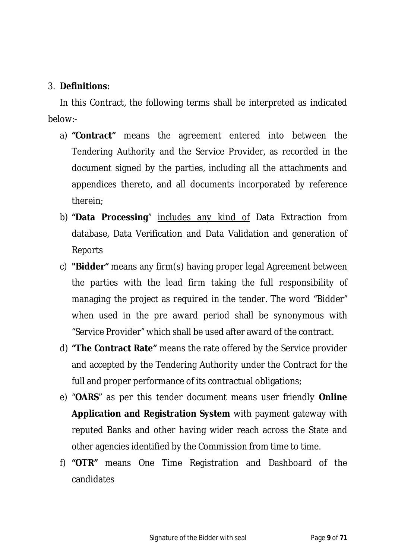#### 3. **Definitions:**

In this Contract, the following terms shall be interpreted as indicated below:-

- a) **"Contract"** means the agreement entered into between the Tendering Authority and the Service Provider, as recorded in the document signed by the parties, including all the attachments and appendices thereto, and all documents incorporated by reference therein;
- b) **"Data Processing**" includes any kind of Data Extraction from database, Data Verification and Data Validation and generation of Reports
- c) **"Bidder"** means any firm(s) having proper legal Agreement between the parties with the lead firm taking the full responsibility of managing the project as required in the tender. The word "Bidder" when used in the pre award period shall be synonymous with "Service Provider" which shall be used after award of the contract.
- d) **"The Contract Rate"** means the rate offered by the Service provider and accepted by the Tendering Authority under the Contract for the full and proper performance of its contractual obligations;
- e) "**OARS**" as per this tender document means user friendly **Online Application and Registration System** with payment gateway with reputed Banks and other having wider reach across the State and other agencies identified by the Commission from time to time.
- f) **"OTR"** means One Time Registration and Dashboard of the candidates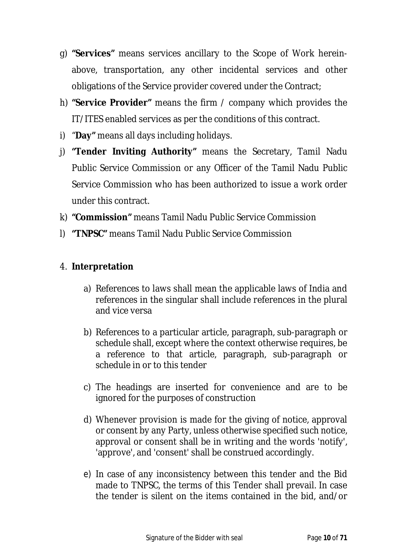- g) **"Services"** means services ancillary to the Scope of Work hereinabove, transportation, any other incidental services and other obligations of the Service provider covered under the Contract;
- h) **"Service Provider"** means the firm / company which provides the IT/ITES enabled services as per the conditions of this contract.
- i) "**Day"** means all days including holidays.
- j) **"Tender Inviting Authority"** means the Secretary, Tamil Nadu Public Service Commission or any Officer of the Tamil Nadu Public Service Commission who has been authorized to issue a work order under this contract.
- k) **"Commission"** means Tamil Nadu Public Service Commission
- l) **"TNPSC"** means Tamil Nadu Public Service Commission

## 4. **Interpretation**

- a) References to laws shall mean the applicable laws of India and references in the singular shall include references in the plural and vice versa
- b) References to a particular article, paragraph, sub-paragraph or schedule shall, except where the context otherwise requires, be a reference to that article, paragraph, sub-paragraph or schedule in or to this tender
- c) The headings are inserted for convenience and are to be ignored for the purposes of construction
- d) Whenever provision is made for the giving of notice, approval or consent by any Party, unless otherwise specified such notice, approval or consent shall be in writing and the words 'notify', 'approve', and 'consent' shall be construed accordingly.
- e) In case of any inconsistency between this tender and the Bid made to TNPSC, the terms of this Tender shall prevail. In case the tender is silent on the items contained in the bid, and/or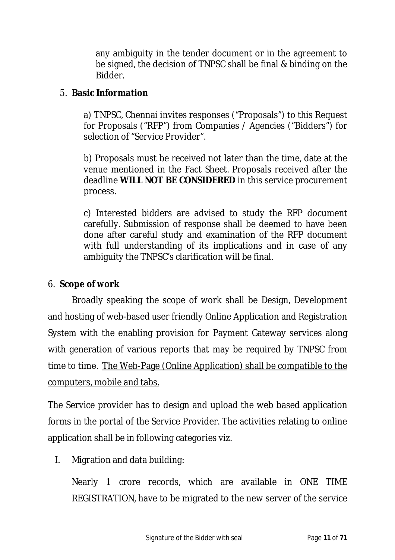any ambiguity in the tender document or in the agreement to be signed, the decision of TNPSC shall be final & binding on the Bidder.

#### 5. **Basic Information**

a) TNPSC, Chennai invites responses ("Proposals") to this Request for Proposals ("RFP") from Companies / Agencies ("Bidders") for selection of "Service Provider".

b) Proposals must be received not later than the time, date at the venue mentioned in the Fact Sheet. Proposals received after the deadline **WILL NOT BE CONSIDERED** in this service procurement process.

c) Interested bidders are advised to study the RFP document carefully. Submission of response shall be deemed to have been done after careful study and examination of the RFP document with full understanding of its implications and in case of any ambiguity the TNPSC's clarification will be final.

#### 6. **Scope of work**

Broadly speaking the scope of work shall be Design, Development and hosting of web-based user friendly Online Application and Registration System with the enabling provision for Payment Gateway services along with generation of various reports that may be required by TNPSC from time to time. The Web-Page (Online Application) shall be compatible to the computers, mobile and tabs.

The Service provider has to design and upload the web based application forms in the portal of the Service Provider. The activities relating to online application shall be in following categories viz.

#### I. Migration and data building:

Nearly 1 crore records, which are available in ONE TIME REGISTRATION, have to be migrated to the new server of the service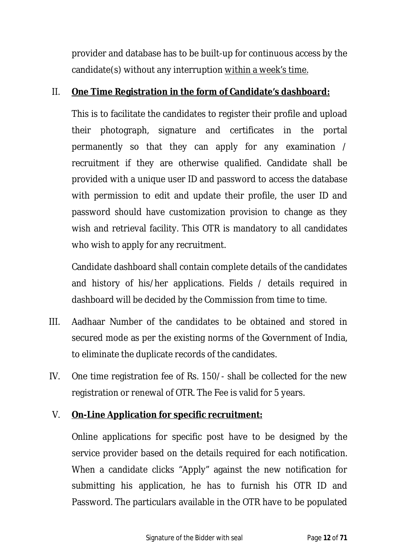provider and database has to be built-up for continuous access by the candidate(s) without any interruption within a week's time.

### II. **One Time Registration in the form of Candidate's dashboard:**

This is to facilitate the candidates to register their profile and upload their photograph, signature and certificates in the portal permanently so that they can apply for any examination / recruitment if they are otherwise qualified. Candidate shall be provided with a unique user ID and password to access the database with permission to edit and update their profile, the user ID and password should have customization provision to change as they wish and retrieval facility. This OTR is mandatory to all candidates who wish to apply for any recruitment.

Candidate dashboard shall contain complete details of the candidates and history of his/her applications. Fields / details required in dashboard will be decided by the Commission from time to time.

- III. Aadhaar Number of the candidates to be obtained and stored in secured mode as per the existing norms of the Government of India, to eliminate the duplicate records of the candidates.
- IV. One time registration fee of Rs. 150/- shall be collected for the new registration or renewal of OTR. The Fee is valid for 5 years.

## V. **On-Line Application for specific recruitment:**

Online applications for specific post have to be designed by the service provider based on the details required for each notification. When a candidate clicks "Apply" against the new notification for submitting his application, he has to furnish his OTR ID and Password. The particulars available in the OTR have to be populated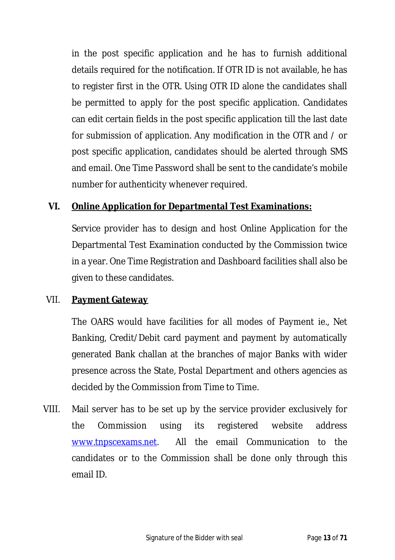in the post specific application and he has to furnish additional details required for the notification. If OTR ID is not available, he has to register first in the OTR. Using OTR ID alone the candidates shall be permitted to apply for the post specific application. Candidates can edit certain fields in the post specific application till the last date for submission of application. Any modification in the OTR and / or post specific application, candidates should be alerted through SMS and email. One Time Password shall be sent to the candidate's mobile number for authenticity whenever required.

### **VI. Online Application for Departmental Test Examinations:**

Service provider has to design and host Online Application for the Departmental Test Examination conducted by the Commission twice in a year. One Time Registration and Dashboard facilities shall also be given to these candidates.

#### VII. **Payment Gateway**

The OARS would have facilities for all modes of Payment ie., Net Banking, Credit/Debit card payment and payment by automatically generated Bank challan at the branches of major Banks with wider presence across the State, Postal Department and others agencies as decided by the Commission from Time to Time.

VIII. Mail server has to be set up by the service provider exclusively for the Commission using its registered website address www.tnpscexams.net. All the email Communication to the candidates or to the Commission shall be done only through this email ID.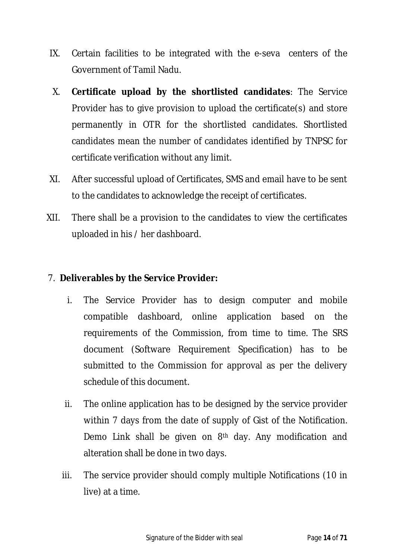- IX. Certain facilities to be integrated with the e-seva centers of the Government of Tamil Nadu.
- X. **Certificate upload by the shortlisted candidates**: The Service Provider has to give provision to upload the certificate(s) and store permanently in OTR for the shortlisted candidates. Shortlisted candidates mean the number of candidates identified by TNPSC for certificate verification without any limit.
- XI. After successful upload of Certificates, SMS and email have to be sent to the candidates to acknowledge the receipt of certificates.
- XII. There shall be a provision to the candidates to view the certificates uploaded in his / her dashboard.

#### 7. **Deliverables by the Service Provider:**

- i. The Service Provider has to design computer and mobile compatible dashboard, online application based on the requirements of the Commission, from time to time. The SRS document (Software Requirement Specification) has to be submitted to the Commission for approval as per the delivery schedule of this document.
- ii. The online application has to be designed by the service provider within 7 days from the date of supply of Gist of the Notification. Demo Link shall be given on 8th day. Any modification and alteration shall be done in two days.
- iii. The service provider should comply multiple Notifications (10 in live) at a time.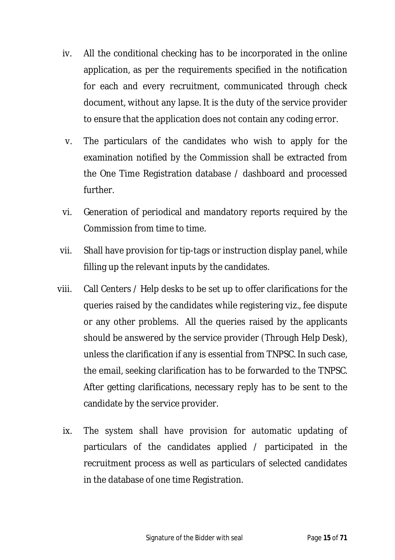- iv. All the conditional checking has to be incorporated in the online application, as per the requirements specified in the notification for each and every recruitment, communicated through check document, without any lapse. It is the duty of the service provider to ensure that the application does not contain any coding error.
- v. The particulars of the candidates who wish to apply for the examination notified by the Commission shall be extracted from the One Time Registration database / dashboard and processed further.
- vi. Generation of periodical and mandatory reports required by the Commission from time to time.
- vii. Shall have provision for tip-tags or instruction display panel, while filling up the relevant inputs by the candidates.
- viii. Call Centers / Help desks to be set up to offer clarifications for the queries raised by the candidates while registering viz., fee dispute or any other problems. All the queries raised by the applicants should be answered by the service provider (Through Help Desk), unless the clarification if any is essential from TNPSC. In such case, the email, seeking clarification has to be forwarded to the TNPSC. After getting clarifications, necessary reply has to be sent to the candidate by the service provider.
	- ix. The system shall have provision for automatic updating of particulars of the candidates applied / participated in the recruitment process as well as particulars of selected candidates in the database of one time Registration.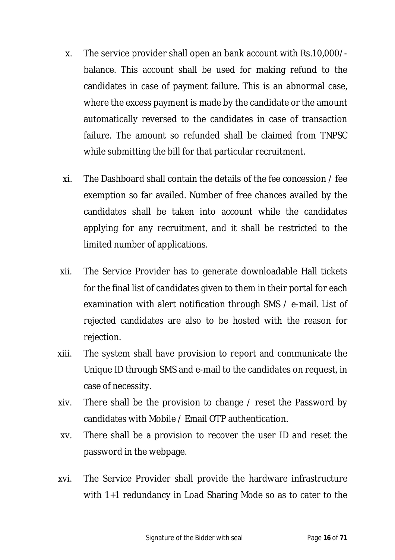- x. The service provider shall open an bank account with Rs.10,000/ balance. This account shall be used for making refund to the candidates in case of payment failure. This is an abnormal case, where the excess payment is made by the candidate or the amount automatically reversed to the candidates in case of transaction failure. The amount so refunded shall be claimed from TNPSC while submitting the bill for that particular recruitment.
- xi. The Dashboard shall contain the details of the fee concession / fee exemption so far availed. Number of free chances availed by the candidates shall be taken into account while the candidates applying for any recruitment, and it shall be restricted to the limited number of applications.
- xii. The Service Provider has to generate downloadable Hall tickets for the final list of candidates given to them in their portal for each examination with alert notification through SMS / e-mail. List of rejected candidates are also to be hosted with the reason for rejection.
- xiii. The system shall have provision to report and communicate the Unique ID through SMS and e-mail to the candidates on request, in case of necessity.
- xiv. There shall be the provision to change / reset the Password by candidates with Mobile / Email OTP authentication.
- xv. There shall be a provision to recover the user ID and reset the password in the webpage.
- xvi. The Service Provider shall provide the hardware infrastructure with 1+1 redundancy in Load Sharing Mode so as to cater to the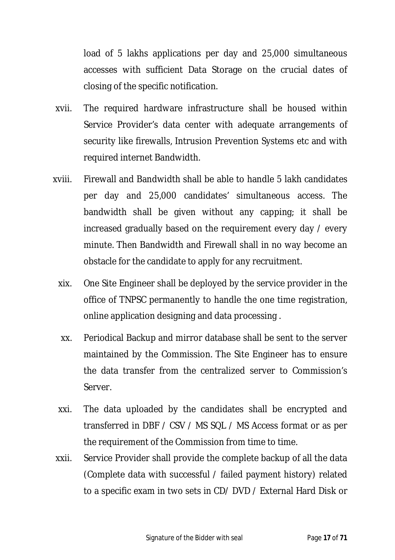load of 5 lakhs applications per day and 25,000 simultaneous accesses with sufficient Data Storage on the crucial dates of closing of the specific notification.

- xvii. The required hardware infrastructure shall be housed within Service Provider's data center with adequate arrangements of security like firewalls, Intrusion Prevention Systems etc and with required internet Bandwidth.
- xviii. Firewall and Bandwidth shall be able to handle 5 lakh candidates per day and 25,000 candidates' simultaneous access. The bandwidth shall be given without any capping; it shall be increased gradually based on the requirement every day / every minute. Then Bandwidth and Firewall shall in no way become an obstacle for the candidate to apply for any recruitment.
	- xix. One Site Engineer shall be deployed by the service provider in the office of TNPSC permanently to handle the one time registration, online application designing and data processing .
	- xx. Periodical Backup and mirror database shall be sent to the server maintained by the Commission. The Site Engineer has to ensure the data transfer from the centralized server to Commission's Server.
	- xxi. The data uploaded by the candidates shall be encrypted and transferred in DBF / CSV / MS SQL / MS Access format or as per the requirement of the Commission from time to time.
- xxii. Service Provider shall provide the complete backup of all the data (Complete data with successful / failed payment history) related to a specific exam in two sets in CD/ DVD / External Hard Disk or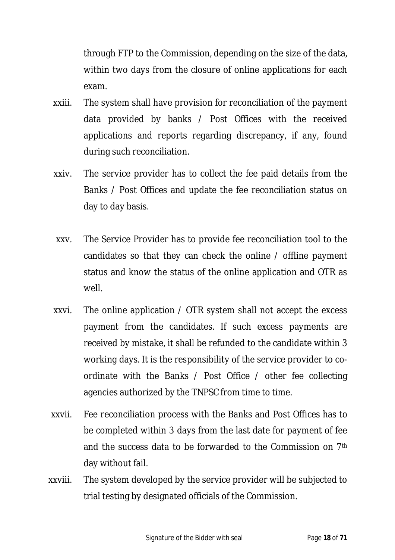through FTP to the Commission, depending on the size of the data, within two days from the closure of online applications for each exam.

- xxiii. The system shall have provision for reconciliation of the payment data provided by banks / Post Offices with the received applications and reports regarding discrepancy, if any, found during such reconciliation.
- xxiv. The service provider has to collect the fee paid details from the Banks / Post Offices and update the fee reconciliation status on day to day basis.
- xxv. The Service Provider has to provide fee reconciliation tool to the candidates so that they can check the online / offline payment status and know the status of the online application and OTR as well.
- xxvi. The online application / OTR system shall not accept the excess payment from the candidates. If such excess payments are received by mistake, it shall be refunded to the candidate within 3 working days. It is the responsibility of the service provider to coordinate with the Banks / Post Office / other fee collecting agencies authorized by the TNPSC from time to time.
- xxvii. Fee reconciliation process with the Banks and Post Offices has to be completed within 3 days from the last date for payment of fee and the success data to be forwarded to the Commission on 7th day without fail.
- xxviii. The system developed by the service provider will be subjected to trial testing by designated officials of the Commission.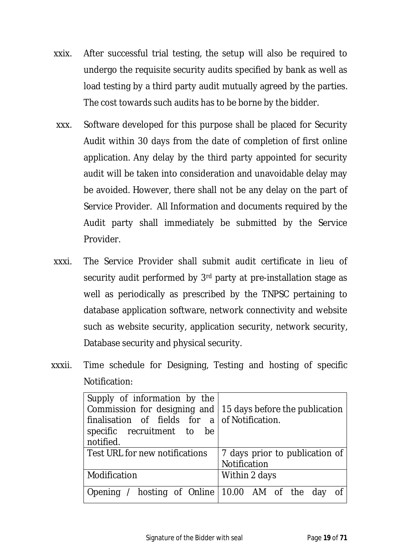- xxix. After successful trial testing, the setup will also be required to undergo the requisite security audits specified by bank as well as load testing by a third party audit mutually agreed by the parties. The cost towards such audits has to be borne by the bidder.
- xxx. Software developed for this purpose shall be placed for Security Audit within 30 days from the date of completion of first online application. Any delay by the third party appointed for security audit will be taken into consideration and unavoidable delay may be avoided. However, there shall not be any delay on the part of Service Provider. All Information and documents required by the Audit party shall immediately be submitted by the Service Provider.
- xxxi. The Service Provider shall submit audit certificate in lieu of security audit performed by 3<sup>rd</sup> party at pre-installation stage as well as periodically as prescribed by the TNPSC pertaining to database application software, network connectivity and website such as website security, application security, network security, Database security and physical security.
- xxxii. Time schedule for Designing, Testing and hosting of specific Notification:

| Supply of information by the<br>Commission for designing and $\vert$ 15 days before the publication<br>finalisation of fields for $a \mid$ of Notification.<br>specific recruitment to be<br>notified. |                                                |  |
|--------------------------------------------------------------------------------------------------------------------------------------------------------------------------------------------------------|------------------------------------------------|--|
| Test URL for new notifications                                                                                                                                                                         | 7 days prior to publication of<br>Notification |  |
| Modification                                                                                                                                                                                           | Within 2 days                                  |  |
| Opening / hosting of Online 10.00 AM of the day                                                                                                                                                        | Of                                             |  |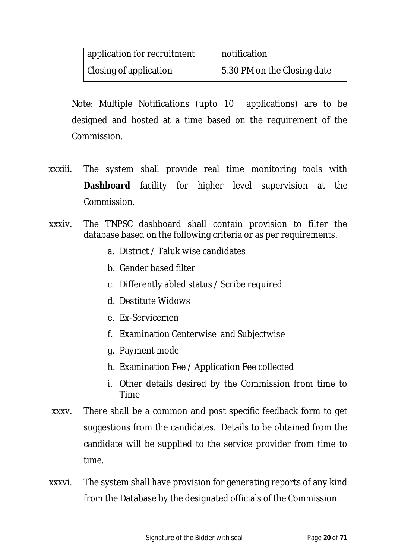| application for recruitment | notification                |
|-----------------------------|-----------------------------|
| Closing of application      | 5.30 PM on the Closing date |

Note: Multiple Notifications (upto 10 applications) are to be designed and hosted at a time based on the requirement of the Commission.

- xxxiii. The system shall provide real time monitoring tools with **Dashboard** facility for higher level supervision at the Commission.
- xxxiv. The TNPSC dashboard shall contain provision to filter the database based on the following criteria or as per requirements.
	- a. District / Taluk wise candidates
	- b. Gender based filter
	- c. Differently abled status / Scribe required
	- d. Destitute Widows
	- e. Ex-Servicemen
	- f. Examination Centerwise and Subjectwise
	- g. Payment mode
	- h. Examination Fee / Application Fee collected
	- i. Other details desired by the Commission from time to Time
- xxxv. There shall be a common and post specific feedback form to get suggestions from the candidates. Details to be obtained from the candidate will be supplied to the service provider from time to time.
- xxxvi. The system shall have provision for generating reports of any kind from the Database by the designated officials of the Commission.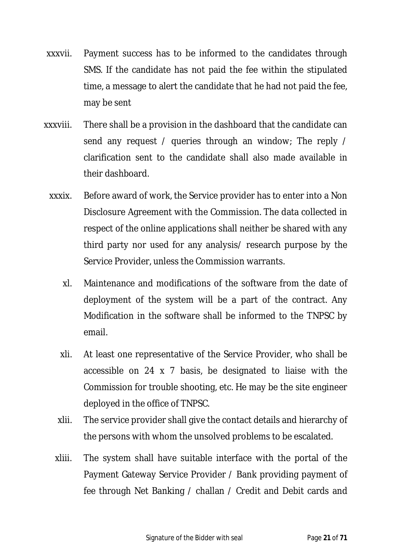- xxxvii. Payment success has to be informed to the candidates through SMS. If the candidate has not paid the fee within the stipulated time, a message to alert the candidate that he had not paid the fee, may be sent
- xxxviii. There shall be a provision in the dashboard that the candidate can send any request / queries through an window; The reply / clarification sent to the candidate shall also made available in their dashboard.
	- xxxix. Before award of work, the Service provider has to enter into a Non Disclosure Agreement with the Commission. The data collected in respect of the online applications shall neither be shared with any third party nor used for any analysis/ research purpose by the Service Provider, unless the Commission warrants.
		- xl. Maintenance and modifications of the software from the date of deployment of the system will be a part of the contract. Any Modification in the software shall be informed to the TNPSC by email.
		- xli. At least one representative of the Service Provider, who shall be accessible on 24 x 7 basis, be designated to liaise with the Commission for trouble shooting, etc. He may be the site engineer deployed in the office of TNPSC.
		- xlii. The service provider shall give the contact details and hierarchy of the persons with whom the unsolved problems to be escalated.
		- xliii. The system shall have suitable interface with the portal of the Payment Gateway Service Provider / Bank providing payment of fee through Net Banking / challan / Credit and Debit cards and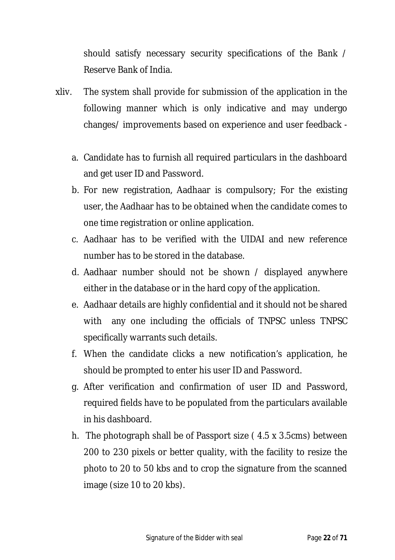should satisfy necessary security specifications of the Bank / Reserve Bank of India.

- xliv. The system shall provide for submission of the application in the following manner which is only indicative and may undergo changes/ improvements based on experience and user feedback
	- a. Candidate has to furnish all required particulars in the dashboard and get user ID and Password.
	- b. For new registration, Aadhaar is compulsory; For the existing user, the Aadhaar has to be obtained when the candidate comes to one time registration or online application.
	- c. Aadhaar has to be verified with the UIDAI and new reference number has to be stored in the database.
	- d. Aadhaar number should not be shown / displayed anywhere either in the database or in the hard copy of the application.
	- e. Aadhaar details are highly confidential and it should not be shared with any one including the officials of TNPSC unless TNPSC specifically warrants such details.
	- f. When the candidate clicks a new notification's application, he should be prompted to enter his user ID and Password.
	- g. After verification and confirmation of user ID and Password, required fields have to be populated from the particulars available in his dashboard.
	- h. The photograph shall be of Passport size ( 4.5 x 3.5cms) between 200 to 230 pixels or better quality, with the facility to resize the photo to 20 to 50 kbs and to crop the signature from the scanned image (size 10 to 20 kbs).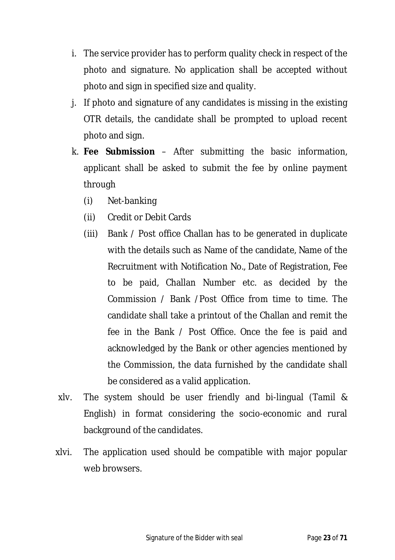- i. The service provider has to perform quality check in respect of the photo and signature. No application shall be accepted without photo and sign in specified size and quality.
- j. If photo and signature of any candidates is missing in the existing OTR details, the candidate shall be prompted to upload recent photo and sign.
- k. **Fee Submission**  After submitting the basic information, applicant shall be asked to submit the fee by online payment through
	- (i) Net-banking
	- (ii) Credit or Debit Cards
	- (iii) Bank / Post office Challan has to be generated in duplicate with the details such as Name of the candidate, Name of the Recruitment with Notification No., Date of Registration, Fee to be paid, Challan Number etc. as decided by the Commission / Bank /Post Office from time to time. The candidate shall take a printout of the Challan and remit the fee in the Bank / Post Office. Once the fee is paid and acknowledged by the Bank or other agencies mentioned by the Commission, the data furnished by the candidate shall be considered as a valid application.
- xlv. The system should be user friendly and bi-lingual (Tamil & English) in format considering the socio-economic and rural background of the candidates.
- xlvi. The application used should be compatible with major popular web browsers.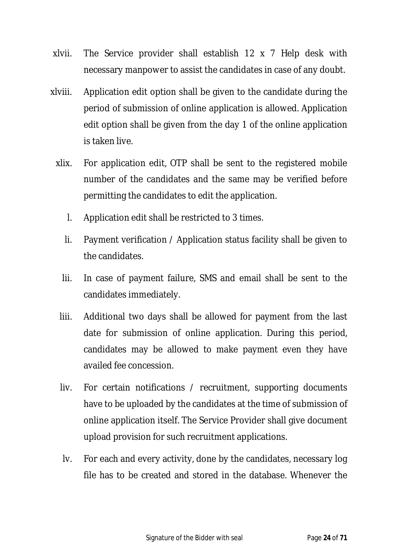- xlvii. The Service provider shall establish 12 x 7 Help desk with necessary manpower to assist the candidates in case of any doubt.
- xlviii. Application edit option shall be given to the candidate during the period of submission of online application is allowed. Application edit option shall be given from the day 1 of the online application is taken live.
	- xlix. For application edit, OTP shall be sent to the registered mobile number of the candidates and the same may be verified before permitting the candidates to edit the application.
		- l. Application edit shall be restricted to 3 times.
		- li. Payment verification / Application status facility shall be given to the candidates.
		- lii. In case of payment failure, SMS and email shall be sent to the candidates immediately.
		- liii. Additional two days shall be allowed for payment from the last date for submission of online application. During this period, candidates may be allowed to make payment even they have availed fee concession.
		- liv. For certain notifications / recruitment, supporting documents have to be uploaded by the candidates at the time of submission of online application itself. The Service Provider shall give document upload provision for such recruitment applications.
		- lv. For each and every activity, done by the candidates, necessary log file has to be created and stored in the database. Whenever the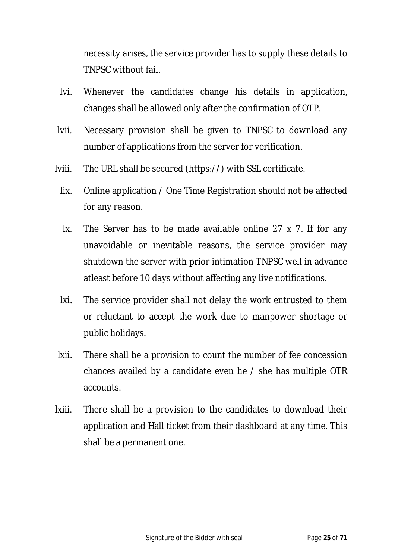necessity arises, the service provider has to supply these details to TNPSC without fail.

- lvi. Whenever the candidates change his details in application, changes shall be allowed only after the confirmation of OTP.
- lvii. Necessary provision shall be given to TNPSC to download any number of applications from the server for verification.
- lviii. The URL shall be secured (https://) with SSL certificate.
	- lix. Online application / One Time Registration should not be affected for any reason.
	- lx. The Server has to be made available online 27 x 7. If for any unavoidable or inevitable reasons, the service provider may shutdown the server with prior intimation TNPSC well in advance atleast before 10 days without affecting any live notifications.
	- lxi. The service provider shall not delay the work entrusted to them or reluctant to accept the work due to manpower shortage or public holidays.
- lxii. There shall be a provision to count the number of fee concession chances availed by a candidate even he / she has multiple OTR accounts.
- lxiii. There shall be a provision to the candidates to download their application and Hall ticket from their dashboard at any time. This shall be a permanent one.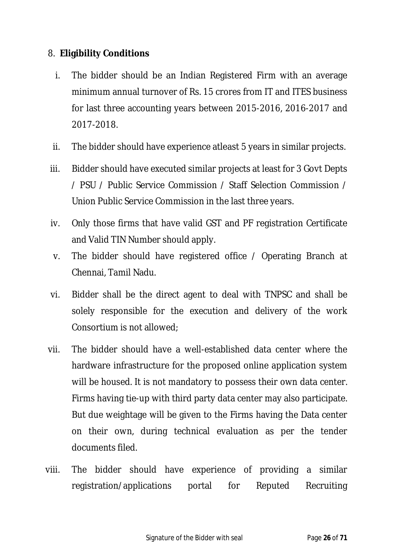#### 8. **Eligibility Conditions**

- i. The bidder should be an Indian Registered Firm with an average minimum annual turnover of Rs. 15 crores from IT and ITES business for last three accounting years between 2015-2016, 2016-2017 and 2017-2018.
- ii. The bidder should have experience atleast 5 years in similar projects.
- iii. Bidder should have executed similar projects at least for 3 Govt Depts / PSU / Public Service Commission / Staff Selection Commission / Union Public Service Commission in the last three years.
- iv. Only those firms that have valid GST and PF registration Certificate and Valid TIN Number should apply.
- v. The bidder should have registered office / Operating Branch at Chennai, Tamil Nadu.
- vi. Bidder shall be the direct agent to deal with TNPSC and shall be solely responsible for the execution and delivery of the work Consortium is not allowed;
- vii. The bidder should have a well-established data center where the hardware infrastructure for the proposed online application system will be housed. It is not mandatory to possess their own data center. Firms having tie-up with third party data center may also participate. But due weightage will be given to the Firms having the Data center on their own, during technical evaluation as per the tender documents filed.
- viii. The bidder should have experience of providing a similar registration/applications portal for Reputed Recruiting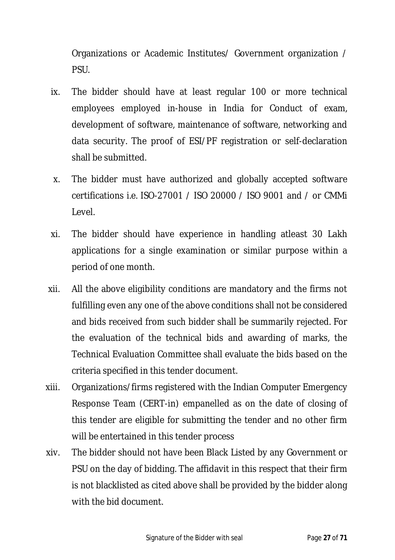Organizations or Academic Institutes/ Government organization / PSU.

- ix. The bidder should have at least regular 100 or more technical employees employed in-house in India for Conduct of exam, development of software, maintenance of software, networking and data security. The proof of ESI/PF registration or self-declaration shall be submitted.
- x. The bidder must have authorized and globally accepted software certifications i.e. ISO-27001 / ISO 20000 / ISO 9001 and / or CMMi Level.
- xi. The bidder should have experience in handling atleast 30 Lakh applications for a single examination or similar purpose within a period of one month.
- xii. All the above eligibility conditions are mandatory and the firms not fulfilling even any one of the above conditions shall not be considered and bids received from such bidder shall be summarily rejected. For the evaluation of the technical bids and awarding of marks, the Technical Evaluation Committee shall evaluate the bids based on the criteria specified in this tender document.
- xiii. Organizations/firms registered with the Indian Computer Emergency Response Team (CERT-in) empanelled as on the date of closing of this tender are eligible for submitting the tender and no other firm will be entertained in this tender process
- xiv. The bidder should not have been Black Listed by any Government or PSU on the day of bidding. The affidavit in this respect that their firm is not blacklisted as cited above shall be provided by the bidder along with the bid document.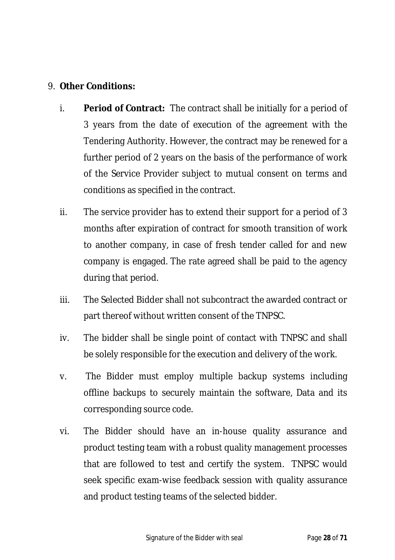#### 9. **Other Conditions:**

- i. **Period of Contract:** The contract shall be initially for a period of 3 years from the date of execution of the agreement with the Tendering Authority. However, the contract may be renewed for a further period of 2 years on the basis of the performance of work of the Service Provider subject to mutual consent on terms and conditions as specified in the contract.
- ii. The service provider has to extend their support for a period of 3 months after expiration of contract for smooth transition of work to another company, in case of fresh tender called for and new company is engaged. The rate agreed shall be paid to the agency during that period.
- iii. The Selected Bidder shall not subcontract the awarded contract or part thereof without written consent of the TNPSC.
- iv. The bidder shall be single point of contact with TNPSC and shall be solely responsible for the execution and delivery of the work.
- v. The Bidder must employ multiple backup systems including offline backups to securely maintain the software, Data and its corresponding source code.
- vi. The Bidder should have an in-house quality assurance and product testing team with a robust quality management processes that are followed to test and certify the system. TNPSC would seek specific exam-wise feedback session with quality assurance and product testing teams of the selected bidder.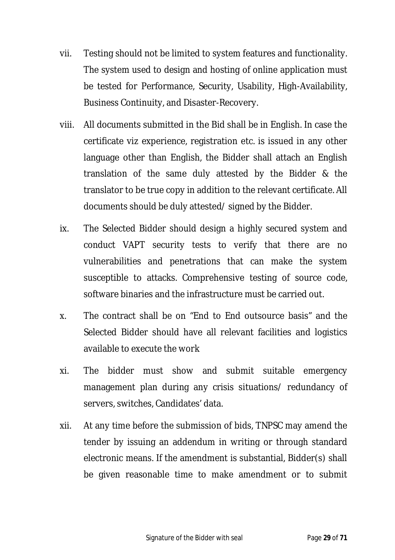- vii. Testing should not be limited to system features and functionality. The system used to design and hosting of online application must be tested for Performance, Security, Usability, High-Availability, Business Continuity, and Disaster-Recovery.
- viii. All documents submitted in the Bid shall be in English. In case the certificate viz experience, registration etc. is issued in any other language other than English, the Bidder shall attach an English translation of the same duly attested by the Bidder & the translator to be true copy in addition to the relevant certificate. All documents should be duly attested/ signed by the Bidder.
- ix. The Selected Bidder should design a highly secured system and conduct VAPT security tests to verify that there are no vulnerabilities and penetrations that can make the system susceptible to attacks. Comprehensive testing of source code, software binaries and the infrastructure must be carried out.
- x. The contract shall be on "End to End outsource basis" and the Selected Bidder should have all relevant facilities and logistics available to execute the work
- xi. The bidder must show and submit suitable emergency management plan during any crisis situations/ redundancy of servers, switches, Candidates' data.
- xii. At any time before the submission of bids, TNPSC may amend the tender by issuing an addendum in writing or through standard electronic means. If the amendment is substantial, Bidder(s) shall be given reasonable time to make amendment or to submit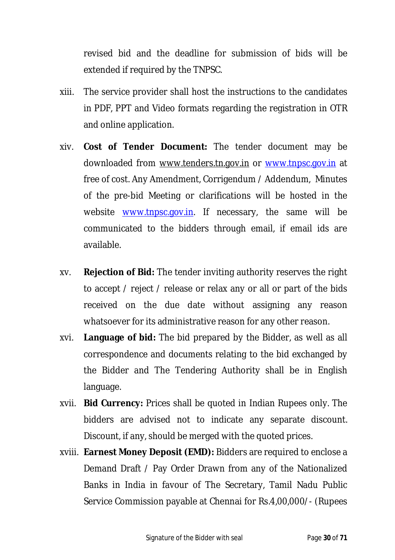revised bid and the deadline for submission of bids will be extended if required by the TNPSC.

- xiii. The service provider shall host the instructions to the candidates in PDF, PPT and Video formats regarding the registration in OTR and online application.
- xiv. **Cost of Tender Document:** The tender document may be downloaded from www.tenders.tn.gov.in or www.tnpsc.gov.in at free of cost. Any Amendment, Corrigendum / Addendum, Minutes of the pre-bid Meeting or clarifications will be hosted in the website www.tnpsc.gov.in. If necessary, the same will be communicated to the bidders through email, if email ids are available.
- xv. **Rejection of Bid:** The tender inviting authority reserves the right to accept / reject / release or relax any or all or part of the bids received on the due date without assigning any reason whatsoever for its administrative reason for any other reason.
- xvi. **Language of bid:** The bid prepared by the Bidder, as well as all correspondence and documents relating to the bid exchanged by the Bidder and The Tendering Authority shall be in English language.
- xvii. **Bid Currency:** Prices shall be quoted in Indian Rupees only. The bidders are advised not to indicate any separate discount. Discount, if any, should be merged with the quoted prices.
- xviii. **Earnest Money Deposit (EMD):** Bidders are required to enclose a Demand Draft / Pay Order Drawn from any of the Nationalized Banks in India in favour of The Secretary, Tamil Nadu Public Service Commission payable at Chennai for Rs.4,00,000/- (Rupees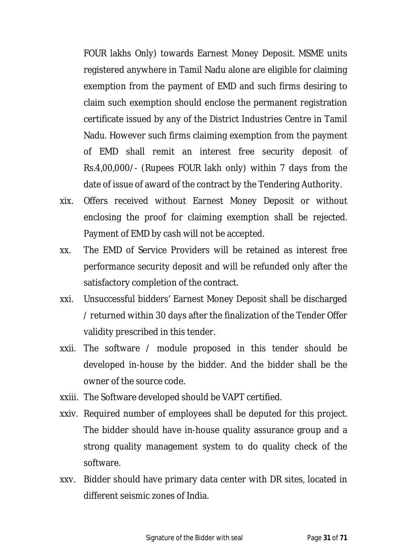FOUR lakhs Only) towards Earnest Money Deposit. MSME units registered anywhere in Tamil Nadu alone are eligible for claiming exemption from the payment of EMD and such firms desiring to claim such exemption should enclose the permanent registration certificate issued by any of the District Industries Centre in Tamil Nadu. However such firms claiming exemption from the payment of EMD shall remit an interest free security deposit of Rs.4,00,000/- (Rupees FOUR lakh only) within 7 days from the date of issue of award of the contract by the Tendering Authority.

- xix. Offers received without Earnest Money Deposit or without enclosing the proof for claiming exemption shall be rejected. Payment of EMD by cash will not be accepted.
- xx. The EMD of Service Providers will be retained as interest free performance security deposit and will be refunded only after the satisfactory completion of the contract.
- xxi. Unsuccessful bidders' Earnest Money Deposit shall be discharged / returned within 30 days after the finalization of the Tender Offer validity prescribed in this tender.
- xxii. The software / module proposed in this tender should be developed in-house by the bidder. And the bidder shall be the owner of the source code.
- xxiii. The Software developed should be VAPT certified.
- xxiv. Required number of employees shall be deputed for this project. The bidder should have in-house quality assurance group and a strong quality management system to do quality check of the software.
- xxv. Bidder should have primary data center with DR sites, located in different seismic zones of India.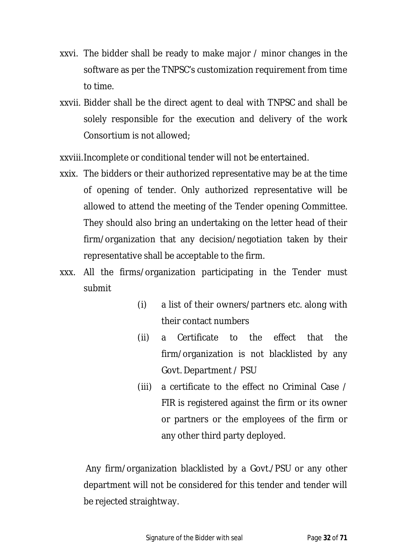- xxvi. The bidder shall be ready to make major / minor changes in the software as per the TNPSC's customization requirement from time to time.
- xxvii. Bidder shall be the direct agent to deal with TNPSC and shall be solely responsible for the execution and delivery of the work Consortium is not allowed;

xxviii.Incomplete or conditional tender will not be entertained.

- xxix. The bidders or their authorized representative may be at the time of opening of tender. Only authorized representative will be allowed to attend the meeting of the Tender opening Committee. They should also bring an undertaking on the letter head of their firm/organization that any decision/negotiation taken by their representative shall be acceptable to the firm.
- xxx. All the firms/organization participating in the Tender must submit
	- (i) a list of their owners/partners etc. along with their contact numbers
	- (ii) a Certificate to the effect that the firm/organization is not blacklisted by any Govt. Department / PSU
	- (iii) a certificate to the effect no Criminal Case / FIR is registered against the firm or its owner or partners or the employees of the firm or any other third party deployed.

Any firm/organization blacklisted by a Govt./PSU or any other department will not be considered for this tender and tender will be rejected straightway.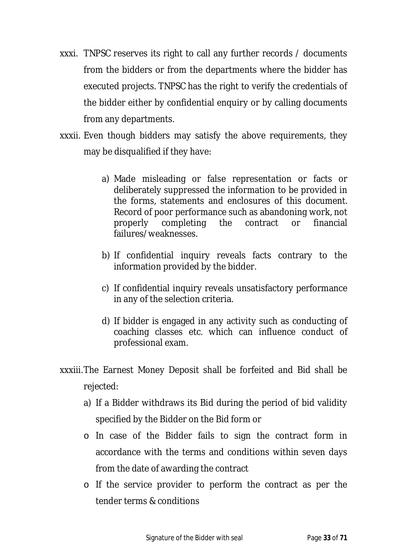- xxxi. TNPSC reserves its right to call any further records / documents from the bidders or from the departments where the bidder has executed projects. TNPSC has the right to verify the credentials of the bidder either by confidential enquiry or by calling documents from any departments.
- xxxii. Even though bidders may satisfy the above requirements, they may be disqualified if they have:
	- a) Made misleading or false representation or facts or deliberately suppressed the information to be provided in the forms, statements and enclosures of this document. Record of poor performance such as abandoning work, not properly completing the contract or financial failures/weaknesses.
	- b) If confidential inquiry reveals facts contrary to the information provided by the bidder.
	- c) If confidential inquiry reveals unsatisfactory performance in any of the selection criteria.
	- d) If bidder is engaged in any activity such as conducting of coaching classes etc. which can influence conduct of professional exam.
- xxxiii.The Earnest Money Deposit shall be forfeited and Bid shall be rejected:
	- a) If a Bidder withdraws its Bid during the period of bid validity specified by the Bidder on the Bid form or
	- o In case of the Bidder fails to sign the contract form in accordance with the terms and conditions within seven days from the date of awarding the contract
	- o If the service provider to perform the contract as per the tender terms & conditions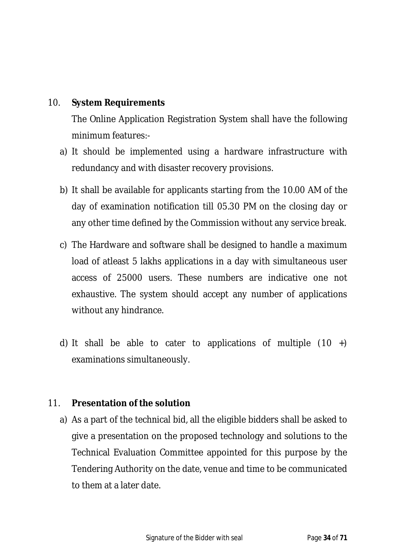#### 10. **System Requirements**

The Online Application Registration System shall have the following minimum features:-

- a) It should be implemented using a hardware infrastructure with redundancy and with disaster recovery provisions.
- b) It shall be available for applicants starting from the 10.00 AM of the day of examination notification till 05.30 PM on the closing day or any other time defined by the Commission without any service break.
- c) The Hardware and software shall be designed to handle a maximum load of atleast 5 lakhs applications in a day with simultaneous user access of 25000 users. These numbers are indicative one not exhaustive. The system should accept any number of applications without any hindrance.
- d) It shall be able to cater to applications of multiple  $(10 +)$ examinations simultaneously.

#### 11. **Presentation of the solution**

a) As a part of the technical bid, all the eligible bidders shall be asked to give a presentation on the proposed technology and solutions to the Technical Evaluation Committee appointed for this purpose by the Tendering Authority on the date, venue and time to be communicated to them at a later date.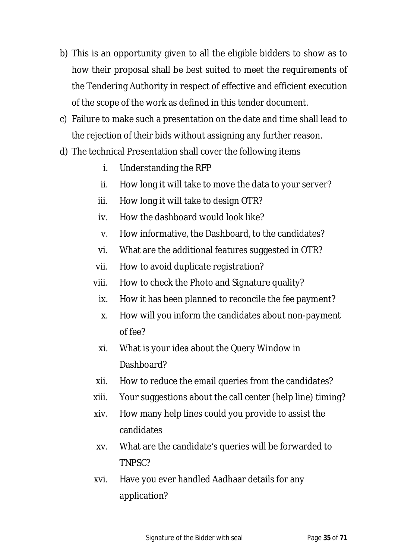- b) This is an opportunity given to all the eligible bidders to show as to how their proposal shall be best suited to meet the requirements of the Tendering Authority in respect of effective and efficient execution of the scope of the work as defined in this tender document.
- c) Failure to make such a presentation on the date and time shall lead to the rejection of their bids without assigning any further reason.
- d) The technical Presentation shall cover the following items
	- i. Understanding the RFP
	- ii. How long it will take to move the data to your server?
	- iii. How long it will take to design OTR?
	- iv. How the dashboard would look like?
	- v. How informative, the Dashboard, to the candidates?
	- vi. What are the additional features suggested in OTR?
	- vii. How to avoid duplicate registration?
	- viii. How to check the Photo and Signature quality?
		- ix. How it has been planned to reconcile the fee payment?
		- x. How will you inform the candidates about non-payment of fee?
		- xi. What is your idea about the Query Window in Dashboard?
	- xii. How to reduce the email queries from the candidates?
	- xiii. Your suggestions about the call center (help line) timing?
	- xiv. How many help lines could you provide to assist the candidates
	- xv. What are the candidate's queries will be forwarded to TNPSC?
	- xvi. Have you ever handled Aadhaar details for any application?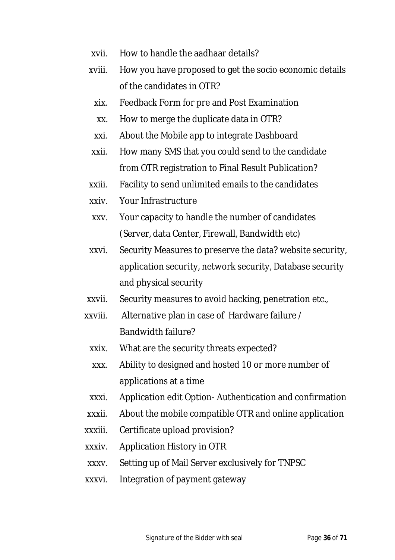- xvii. How to handle the aadhaar details?
- xviii. How you have proposed to get the socio economic details of the candidates in OTR?
- xix. Feedback Form for pre and Post Examination
- xx. How to merge the duplicate data in OTR?
- xxi. About the Mobile app to integrate Dashboard
- xxii. How many SMS that you could send to the candidate from OTR registration to Final Result Publication?
- xxiii. Facility to send unlimited emails to the candidates
- xxiv. Your Infrastructure
- xxv. Your capacity to handle the number of candidates (Server, data Center, Firewall, Bandwidth etc)
- xxvi. Security Measures to preserve the data? website security, application security, network security, Database security and physical security
- xxvii. Security measures to avoid hacking, penetration etc.,
- xxviii. Alternative plan in case of Hardware failure / Bandwidth failure?
	- xxix. What are the security threats expected?
	- xxx. Ability to designed and hosted 10 or more number of applications at a time
- xxxi. Application edit Option- Authentication and confirmation
- xxxii. About the mobile compatible OTR and online application
- xxxiii. Certificate upload provision?
- xxxiv. Application History in OTR
- xxxv. Setting up of Mail Server exclusively for TNPSC
- xxxvi. Integration of payment gateway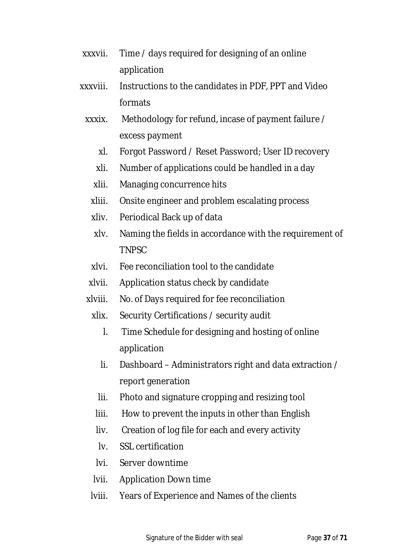- xxxvii. Time / days required for designing of an online application
- xxxviii. Instructions to the candidates in PDF, PPT and Video formats
	- xxxix. Methodology for refund, incase of payment failure / excess payment
		- xl. Forgot Password / Reset Password; User ID recovery
		- xli. Number of applications could be handled in a day
		- xlii. Managing concurrence hits
		- xliii. Onsite engineer and problem escalating process
		- xliv. Periodical Back up of data
		- xlv. Naming the fields in accordance with the requirement of TNPSC
		- xlvi. Fee reconciliation tool to the candidate
		- xlvii. Application status check by candidate
	- xlviii. No. of Days required for fee reconciliation
		- xlix. Security Certifications / security audit
			- l. Time Schedule for designing and hosting of online application
			- li. Dashboard Administrators right and data extraction / report generation
			- lii. Photo and signature cropping and resizing tool
			- liii. How to prevent the inputs in other than English
			- liv. Creation of log file for each and every activity
			- lv. SSL certification
			- lvi. Server downtime
		- lvii. Application Down time
		- lviii. Years of Experience and Names of the clients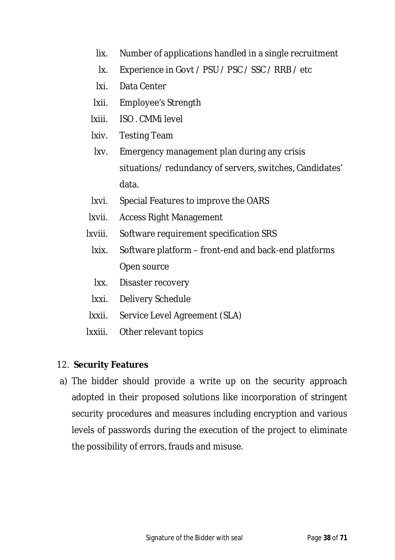- lix. Number of applications handled in a single recruitment
- lx. Experience in Govt / PSU / PSC / SSC / RRB / etc
- lxi. Data Center
- lxii. Employee's Strength
- lxiii. ISO . CMMi level
- lxiv. Testing Team
- lxv. Emergency management plan during any crisis situations/ redundancy of servers, switches, Candidates' data.
- lxvi. Special Features to improve the OARS
- lxvii. Access Right Management
- lxviii. Software requirement specification SRS
	- lxix. Software platform front-end and back-end platforms Open source
	- lxx. Disaster recovery
	- lxxi. Delivery Schedule
- lxxii. Service Level Agreement (SLA)
- lxxiii. Other relevant topics

### 12. **Security Features**

a) The bidder should provide a write up on the security approach adopted in their proposed solutions like incorporation of stringent security procedures and measures including encryption and various levels of passwords during the execution of the project to eliminate the possibility of errors, frauds and misuse.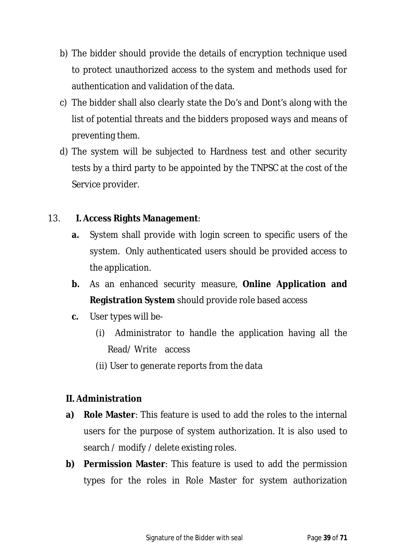- b) The bidder should provide the details of encryption technique used to protect unauthorized access to the system and methods used for authentication and validation of the data.
- c) The bidder shall also clearly state the Do's and Dont's along with the list of potential threats and the bidders proposed ways and means of preventing them.
- d) The system will be subjected to Hardness test and other security tests by a third party to be appointed by the TNPSC at the cost of the Service provider.

### 13. **I. Access Rights Management**:

- **a.** System shall provide with login screen to specific users of the system. Only authenticated users should be provided access to the application.
- **b.** As an enhanced security measure, **Online Application and Registration System** should provide role based access
- **c.** User types will be-
	- (i) Administrator to handle the application having all the Read/ Write access
	- (ii) User to generate reports from the data

#### **II. Administration**

- **a) Role Master**: This feature is used to add the roles to the internal users for the purpose of system authorization. It is also used to search / modify / delete existing roles.
- **b) Permission Master**: This feature is used to add the permission types for the roles in Role Master for system authorization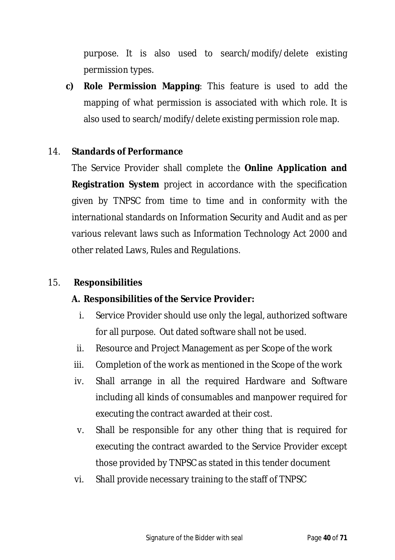purpose. It is also used to search/modify/delete existing permission types.

**c) Role Permission Mapping**: This feature is used to add the mapping of what permission is associated with which role. It is also used to search/modify/delete existing permission role map.

#### 14. **Standards of Performance**

The Service Provider shall complete the **Online Application and Registration System** project in accordance with the specification given by TNPSC from time to time and in conformity with the international standards on Information Security and Audit and as per various relevant laws such as Information Technology Act 2000 and other related Laws, Rules and Regulations.

#### 15. **Responsibilities**

#### **A. Responsibilities of the Service Provider:**

- i. Service Provider should use only the legal, authorized software for all purpose. Out dated software shall not be used.
- ii. Resource and Project Management as per Scope of the work
- iii. Completion of the work as mentioned in the Scope of the work
- iv. Shall arrange in all the required Hardware and Software including all kinds of consumables and manpower required for executing the contract awarded at their cost.
- v. Shall be responsible for any other thing that is required for executing the contract awarded to the Service Provider except those provided by TNPSC as stated in this tender document
- vi. Shall provide necessary training to the staff of TNPSC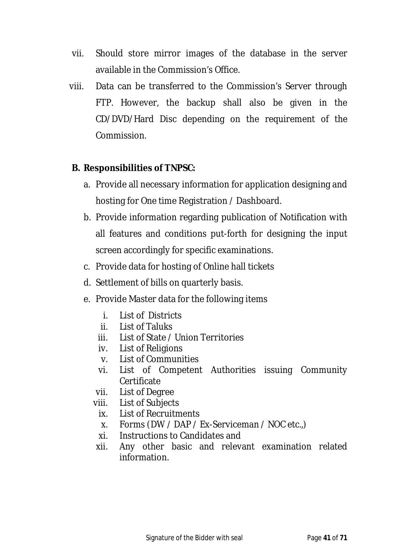- vii. Should store mirror images of the database in the server available in the Commission's Office.
- viii. Data can be transferred to the Commission's Server through FTP. However, the backup shall also be given in the CD/DVD/Hard Disc depending on the requirement of the Commission.

#### **B. Responsibilities of TNPSC:**

- a. Provide all necessary information for application designing and hosting for One time Registration / Dashboard.
- b. Provide information regarding publication of Notification with all features and conditions put-forth for designing the input screen accordingly for specific examinations.
- c. Provide data for hosting of Online hall tickets
- d. Settlement of bills on quarterly basis.
- e. Provide Master data for the following items
	- i. List of Districts
	- ii. List of Taluks
	- iii. List of State / Union Territories
	- iv. List of Religions
	- v. List of Communities
	- vi. List of Competent Authorities issuing Community **Certificate**
	- vii. List of Degree
	- viii. List of Subjects
		- ix. List of Recruitments
		- x. Forms (DW / DAP / Ex-Serviceman / NOC etc.,)
		- xi. Instructions to Candidates and
	- xii. Any other basic and relevant examination related information.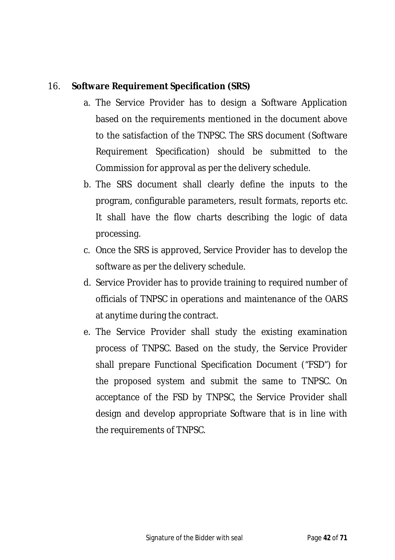### 16. **Software Requirement Specification (SRS)**

- a. The Service Provider has to design a Software Application based on the requirements mentioned in the document above to the satisfaction of the TNPSC. The SRS document (Software Requirement Specification) should be submitted to the Commission for approval as per the delivery schedule.
- b. The SRS document shall clearly define the inputs to the program, configurable parameters, result formats, reports etc. It shall have the flow charts describing the logic of data processing.
- c. Once the SRS is approved, Service Provider has to develop the software as per the delivery schedule.
- d. Service Provider has to provide training to required number of officials of TNPSC in operations and maintenance of the OARS at anytime during the contract.
- e. The Service Provider shall study the existing examination process of TNPSC. Based on the study, the Service Provider shall prepare Functional Specification Document ("FSD") for the proposed system and submit the same to TNPSC. On acceptance of the FSD by TNPSC, the Service Provider shall design and develop appropriate Software that is in line with the requirements of TNPSC.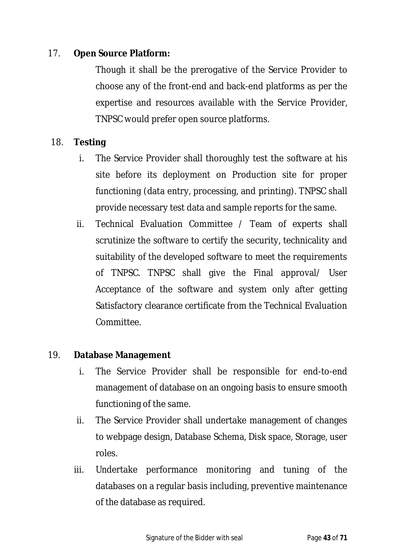### 17. **Open Source Platform:**

Though it shall be the prerogative of the Service Provider to choose any of the front-end and back-end platforms as per the expertise and resources available with the Service Provider, TNPSC would prefer open source platforms.

#### 18. **Testing**

- i. The Service Provider shall thoroughly test the software at his site before its deployment on Production site for proper functioning (data entry, processing, and printing). TNPSC shall provide necessary test data and sample reports for the same.
- ii. Technical Evaluation Committee / Team of experts shall scrutinize the software to certify the security, technicality and suitability of the developed software to meet the requirements of TNPSC. TNPSC shall give the Final approval/ User Acceptance of the software and system only after getting Satisfactory clearance certificate from the Technical Evaluation Committee.

#### 19. **Database Management**

- i. The Service Provider shall be responsible for end-to-end management of database on an ongoing basis to ensure smooth functioning of the same.
- ii. The Service Provider shall undertake management of changes to webpage design, Database Schema, Disk space, Storage, user roles.
- iii. Undertake performance monitoring and tuning of the databases on a regular basis including, preventive maintenance of the database as required.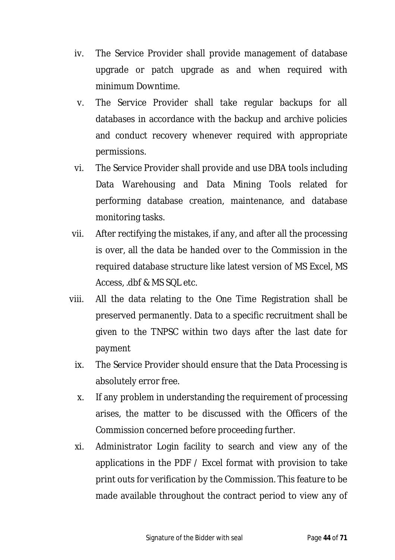- iv. The Service Provider shall provide management of database upgrade or patch upgrade as and when required with minimum Downtime.
- v. The Service Provider shall take regular backups for all databases in accordance with the backup and archive policies and conduct recovery whenever required with appropriate permissions.
- vi. The Service Provider shall provide and use DBA tools including Data Warehousing and Data Mining Tools related for performing database creation, maintenance, and database monitoring tasks.
- vii. After rectifying the mistakes, if any, and after all the processing is over, all the data be handed over to the Commission in the required database structure like latest version of MS Excel, MS Access, .dbf & MS SQL etc.
- viii. All the data relating to the One Time Registration shall be preserved permanently. Data to a specific recruitment shall be given to the TNPSC within two days after the last date for payment
	- ix. The Service Provider should ensure that the Data Processing is absolutely error free.
	- x. If any problem in understanding the requirement of processing arises, the matter to be discussed with the Officers of the Commission concerned before proceeding further.
	- xi. Administrator Login facility to search and view any of the applications in the PDF / Excel format with provision to take print outs for verification by the Commission. This feature to be made available throughout the contract period to view any of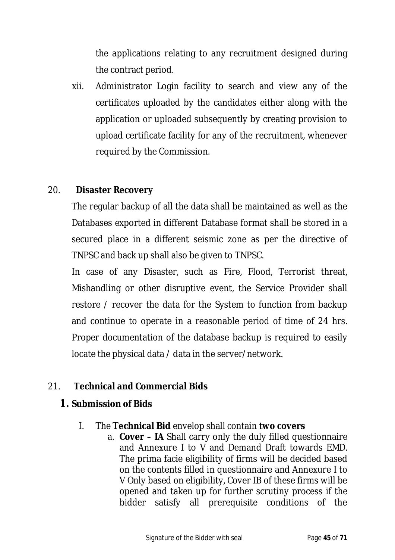the applications relating to any recruitment designed during the contract period.

xii. Administrator Login facility to search and view any of the certificates uploaded by the candidates either along with the application or uploaded subsequently by creating provision to upload certificate facility for any of the recruitment, whenever required by the Commission.

#### 20. **Disaster Recovery**

The regular backup of all the data shall be maintained as well as the Databases exported in different Database format shall be stored in a secured place in a different seismic zone as per the directive of TNPSC and back up shall also be given to TNPSC.

In case of any Disaster, such as Fire, Flood, Terrorist threat, Mishandling or other disruptive event, the Service Provider shall restore / recover the data for the System to function from backup and continue to operate in a reasonable period of time of 24 hrs. Proper documentation of the database backup is required to easily locate the physical data / data in the server/network.

### 21. **Technical and Commercial Bids**

### **1. Submission of Bids**

- I. The **Technical Bid** envelop shall contain **two covers**
	- a. **Cover – IA** Shall carry only the duly filled questionnaire and Annexure I to V and Demand Draft towards EMD. The prima facie eligibility of firms will be decided based on the contents filled in questionnaire and Annexure I to V Only based on eligibility, Cover IB of these firms will be opened and taken up for further scrutiny process if the bidder satisfy all prerequisite conditions of the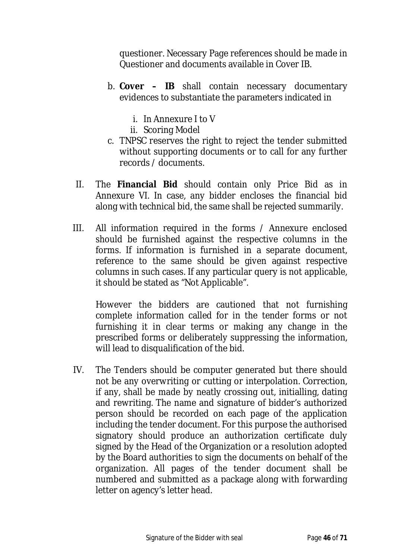questioner. Necessary Page references should be made in Questioner and documents available in Cover IB.

- b. **Cover – IB** shall contain necessary documentary evidences to substantiate the parameters indicated in
	- i. In Annexure I to V
	- ii. Scoring Model
- c. TNPSC reserves the right to reject the tender submitted without supporting documents or to call for any further records / documents.
- II. The **Financial Bid** should contain only Price Bid as in Annexure VI. In case, any bidder encloses the financial bid along with technical bid, the same shall be rejected summarily.
- III. All information required in the forms / Annexure enclosed should be furnished against the respective columns in the forms. If information is furnished in a separate document, reference to the same should be given against respective columns in such cases. If any particular query is not applicable, it should be stated as "Not Applicable".

However the bidders are cautioned that not furnishing complete information called for in the tender forms or not furnishing it in clear terms or making any change in the prescribed forms or deliberately suppressing the information, will lead to disqualification of the bid.

IV. The Tenders should be computer generated but there should not be any overwriting or cutting or interpolation. Correction, if any, shall be made by neatly crossing out, initialling, dating and rewriting. The name and signature of bidder's authorized person should be recorded on each page of the application including the tender document. For this purpose the authorised signatory should produce an authorization certificate duly signed by the Head of the Organization or a resolution adopted by the Board authorities to sign the documents on behalf of the organization. All pages of the tender document shall be numbered and submitted as a package along with forwarding letter on agency's letter head.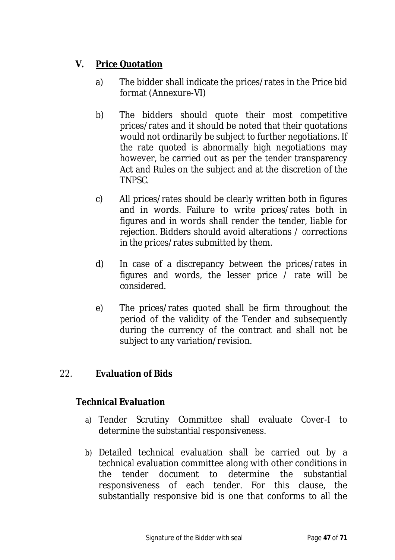## **V. Price Quotation**

- a) The bidder shall indicate the prices/rates in the Price bid format (Annexure-VI)
- b) The bidders should quote their most competitive prices/rates and it should be noted that their quotations would not ordinarily be subject to further negotiations. If the rate quoted is abnormally high negotiations may however, be carried out as per the tender transparency Act and Rules on the subject and at the discretion of the TNPSC.
- c) All prices/rates should be clearly written both in figures and in words. Failure to write prices/rates both in figures and in words shall render the tender, liable for rejection. Bidders should avoid alterations / corrections in the prices/rates submitted by them.
- d) In case of a discrepancy between the prices/rates in figures and words, the lesser price / rate will be considered.
- e) The prices/rates quoted shall be firm throughout the period of the validity of the Tender and subsequently during the currency of the contract and shall not be subject to any variation/revision.

### 22. **Evaluation of Bids**

### **Technical Evaluation**

- a) Tender Scrutiny Committee shall evaluate Cover-I to determine the substantial responsiveness.
- b) Detailed technical evaluation shall be carried out by a technical evaluation committee along with other conditions in the tender document to determine the substantial responsiveness of each tender. For this clause, the substantially responsive bid is one that conforms to all the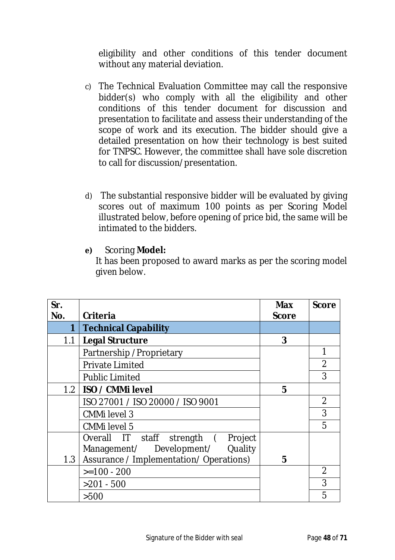eligibility and other conditions of this tender document without any material deviation.

- c) The Technical Evaluation Committee may call the responsive bidder(s) who comply with all the eligibility and other conditions of this tender document for discussion and presentation to facilitate and assess their understanding of the scope of work and its execution. The bidder should give a detailed presentation on how their technology is best suited for TNPSC. However, the committee shall have sole discretion to call for discussion/presentation.
- d) The substantial responsive bidder will be evaluated by giving scores out of maximum 100 points as per Scoring Model illustrated below, before opening of price bid, the same will be intimated to the bidders.
- **e)** Scoring **Model:**

It has been proposed to award marks as per the scoring model given below.

| Sr.<br>No.       | Criteria                                | <b>Max</b><br><b>Score</b> | <b>Score</b>   |
|------------------|-----------------------------------------|----------------------------|----------------|
| 1                | <b>Technical Capability</b>             |                            |                |
| 1.1              | <b>Legal Structure</b>                  | 3                          |                |
|                  | Partnership / Proprietary               |                            | 1              |
|                  | <b>Private Limited</b>                  |                            | $\overline{2}$ |
|                  | <b>Public Limited</b>                   |                            | 3              |
| 1.2 <sub>1</sub> | ISO / CMMi level                        | 5                          |                |
|                  | ISO 27001 / ISO 20000 / ISO 9001        |                            | $\overline{2}$ |
|                  | <b>CMMillevel 3</b>                     |                            | 3              |
|                  | <b>CMMillevel 5</b>                     |                            | 5              |
|                  | Overall IT staff<br>strength (Project   |                            |                |
|                  | Management/ Development/ Quality        |                            |                |
| 1.3              | Assurance / Implementation/ Operations) | 5                          |                |
|                  | $>=100 - 200$                           |                            | $\overline{2}$ |
|                  | $>201 - 500$                            |                            | 3              |
|                  | >500                                    |                            | 5              |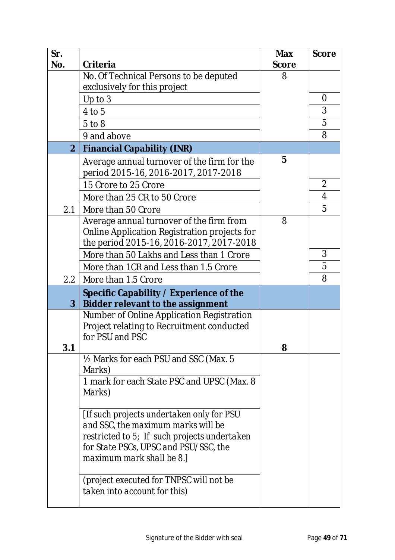| Sr.               |                                                  | <b>Max</b>   | <b>Score</b>   |
|-------------------|--------------------------------------------------|--------------|----------------|
| No.               | Criteria                                         | <b>Score</b> |                |
|                   | No. Of Technical Persons to be deputed           | 8            |                |
|                   | exclusively for this project                     |              |                |
|                   | Up to 3                                          |              | 0              |
|                   | 4 to 5                                           |              | 3              |
|                   | $5$ to $8$                                       |              | 5              |
|                   | 9 and above                                      |              | 8              |
| 2 <sup>1</sup>    | <b>Financial Capability (INR)</b>                |              |                |
|                   | Average annual turnover of the firm for the      | 5            |                |
|                   | period 2015-16, 2016-2017, 2017-2018             |              |                |
|                   | 15 Crore to 25 Crore                             |              | $\overline{2}$ |
|                   | More than 25 CR to 50 Crore                      |              | 4              |
| 2.1               | More than 50 Crore                               |              | 5              |
|                   | Average annual turnover of the firm from         | 8            |                |
|                   | Online Application Registration projects for     |              |                |
|                   | the period 2015-16, 2016-2017, 2017-2018         |              |                |
|                   | More than 50 Lakhs and Less than 1 Crore         |              | 3              |
|                   | More than 1CR and Less than 1.5 Crore            |              | 5              |
| $2.2\overline{ }$ | More than 1.5 Crore                              |              | 8              |
|                   | Specific Capability / Experience of the          |              |                |
| 3 <sup>1</sup>    | <b>Bidder relevant to the assignment</b>         |              |                |
|                   | Number of Online Application Registration        |              |                |
|                   | Project relating to Recruitment conducted        |              |                |
|                   | for PSU and PSC                                  |              |                |
| 3.1               |                                                  | 8            |                |
|                   | 1/2 Marks for each PSU and SSC (Max. 5<br>Marks) |              |                |
|                   | 1 mark for each State PSC and UPSC (Max. 8       |              |                |
|                   | Marks)                                           |              |                |
|                   |                                                  |              |                |
|                   | [If such projects undertaken only for PSU        |              |                |
|                   | and SSC, the maximum marks will be               |              |                |
|                   | restricted to 5; If such projects undertaken     |              |                |
|                   | for State PSCs, UPSC and PSU/SSC, the            |              |                |
|                   | maximum mark shall be 8.]                        |              |                |
|                   | (project executed for TNPSC will not be          |              |                |
|                   | taken into account for this)                     |              |                |
|                   |                                                  |              |                |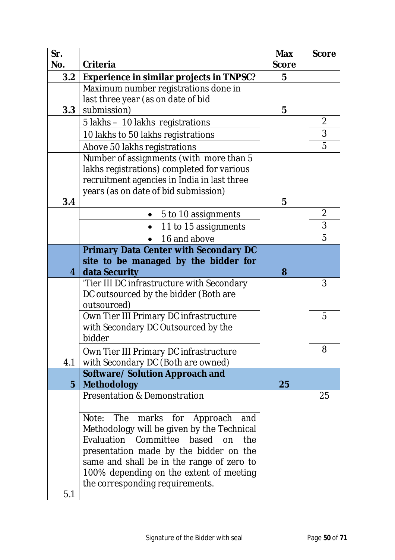| Sr.<br>No.     | <b>Criteria</b>                                                                                                                                                                                                                                                                                      | <b>Max</b><br><b>Score</b> | <b>Score</b> |
|----------------|------------------------------------------------------------------------------------------------------------------------------------------------------------------------------------------------------------------------------------------------------------------------------------------------------|----------------------------|--------------|
| 3.2            | <b>Experience in similar projects in TNPSC?</b>                                                                                                                                                                                                                                                      | 5                          |              |
| 3.3            | Maximum number registrations done in<br>last three year (as on date of bid<br>submission)                                                                                                                                                                                                            | 5                          |              |
|                | 5 lakhs - 10 lakhs registrations                                                                                                                                                                                                                                                                     |                            | 2            |
|                | 10 lakhs to 50 lakhs registrations                                                                                                                                                                                                                                                                   |                            | 3            |
|                | Above 50 lakhs registrations                                                                                                                                                                                                                                                                         |                            | 5            |
|                | Number of assignments (with more than 5<br>lakhs registrations) completed for various<br>recruitment agencies in India in last three<br>years (as on date of bid submission)                                                                                                                         | 5                          |              |
| 3.4            |                                                                                                                                                                                                                                                                                                      |                            | 2            |
|                | 5 to 10 assignments                                                                                                                                                                                                                                                                                  |                            | 3            |
|                | 11 to 15 assignments<br>$\bullet$<br>16 and above                                                                                                                                                                                                                                                    |                            | 5            |
|                | <b>Primary Data Center with Secondary DC</b>                                                                                                                                                                                                                                                         |                            |              |
|                | site to be managed by the bidder for                                                                                                                                                                                                                                                                 |                            |              |
| $\overline{4}$ | data Security                                                                                                                                                                                                                                                                                        | 8                          |              |
|                | 'Tier III DC infrastructure with Secondary<br>DC outsourced by the bidder (Both are<br>outsourced)                                                                                                                                                                                                   |                            | 3            |
|                | Own Tier III Primary DC infrastructure<br>with Secondary DC Outsourced by the<br>bidder                                                                                                                                                                                                              |                            | 5            |
| 4.1            | Own Tier III Primary DC infrastructure<br>with Secondary DC (Both are owned)                                                                                                                                                                                                                         |                            | 8            |
| $5\phantom{1}$ | <b>Software/ Solution Approach and</b><br><b>Methodology</b>                                                                                                                                                                                                                                         | 25                         |              |
|                | <b>Presentation &amp; Demonstration</b>                                                                                                                                                                                                                                                              |                            | 25           |
| 5.1            | Note: The<br>marks for Approach<br>and<br>Methodology will be given by the Technical<br>Evaluation Committee<br>based on<br>the<br>presentation made by the bidder on the<br>same and shall be in the range of zero to<br>100% depending on the extent of meeting<br>the corresponding requirements. |                            |              |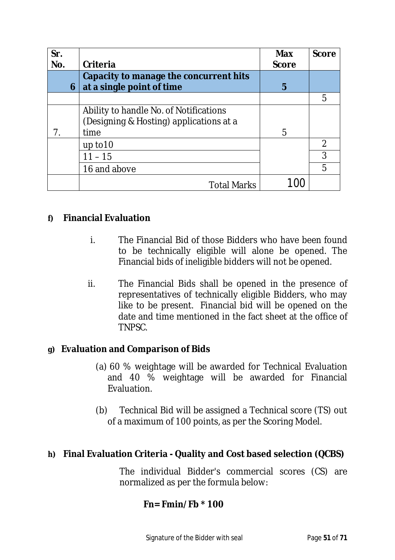| Sr.<br>No. | Criteria                                                                                  | <b>Max</b><br><b>Score</b> | <b>Score</b>   |
|------------|-------------------------------------------------------------------------------------------|----------------------------|----------------|
| 6          | Capacity to manage the concurrent hits<br>at a single point of time                       | 5                          |                |
|            |                                                                                           |                            | 5              |
| 7.         | Ability to handle No. of Notifications<br>(Designing & Hosting) applications at a<br>time | 5                          |                |
|            | up to $10$                                                                                |                            | $\overline{2}$ |
|            | $11 - 15$                                                                                 |                            | 3              |
|            | 16 and above                                                                              |                            | 5              |
|            | <b>Total Marks</b>                                                                        |                            |                |

### **f) Financial Evaluation**

- i. The Financial Bid of those Bidders who have been found to be technically eligible will alone be opened. The Financial bids of ineligible bidders will not be opened.
- ii. The Financial Bids shall be opened in the presence of representatives of technically eligible Bidders, who may like to be present. Financial bid will be opened on the date and time mentioned in the fact sheet at the office of TNPSC.

### **g) Evaluation and Comparison of Bids**

- (a) 60 % weightage will be awarded for Technical Evaluation and 40 % weightage will be awarded for Financial Evaluation.
- (b) Technical Bid will be assigned a Technical score (TS) out of a maximum of 100 points, as per the Scoring Model.

#### **h) Final Evaluation Criteria - Quality and Cost based selection (QCBS)**

The individual Bidder's commercial scores (CS) are normalized as per the formula below:

### **Fn= Fmin/Fb \* 100**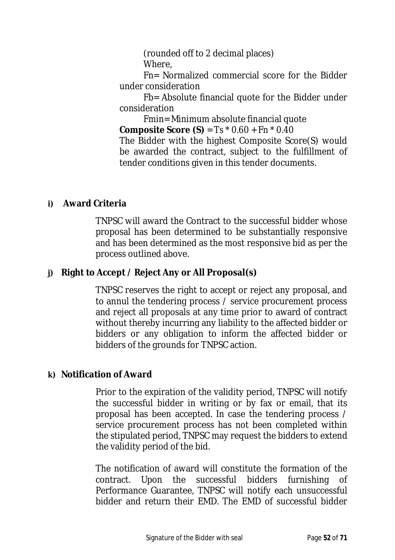(rounded off to 2 decimal places) Where,

Fn= Normalized commercial score for the Bidder under consideration

Fb= Absolute financial quote for the Bidder under consideration

Fmin= Minimum absolute financial quote

**Composite Score (S)** = Ts \* 0.60 + Fn \* 0.40

The Bidder with the highest Composite Score(S) would be awarded the contract, subject to the fulfillment of tender conditions given in this tender documents.

### **i) Award Criteria**

TNPSC will award the Contract to the successful bidder whose proposal has been determined to be substantially responsive and has been determined as the most responsive bid as per the process outlined above.

## **j) Right to Accept / Reject Any or All Proposal(s)**

TNPSC reserves the right to accept or reject any proposal, and to annul the tendering process / service procurement process and reject all proposals at any time prior to award of contract without thereby incurring any liability to the affected bidder or bidders or any obligation to inform the affected bidder or bidders of the grounds for TNPSC action.

### **k) Notification of Award**

Prior to the expiration of the validity period, TNPSC will notify the successful bidder in writing or by fax or email, that its proposal has been accepted. In case the tendering process / service procurement process has not been completed within the stipulated period, TNPSC may request the bidders to extend the validity period of the bid.

The notification of award will constitute the formation of the contract. Upon the successful bidders furnishing of Performance Guarantee, TNPSC will notify each unsuccessful bidder and return their EMD. The EMD of successful bidder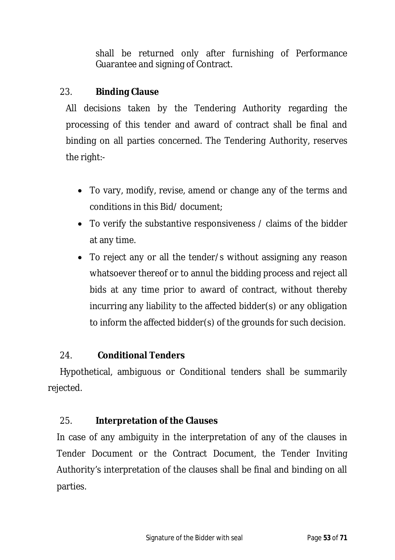shall be returned only after furnishing of Performance Guarantee and signing of Contract.

#### 23. **Binding Clause**

All decisions taken by the Tendering Authority regarding the processing of this tender and award of contract shall be final and binding on all parties concerned. The Tendering Authority, reserves the right:-

- To vary, modify, revise, amend or change any of the terms and conditions in this Bid/ document;
- To verify the substantive responsiveness / claims of the bidder at any time.
- To reject any or all the tender/s without assigning any reason whatsoever thereof or to annul the bidding process and reject all bids at any time prior to award of contract, without thereby incurring any liability to the affected bidder(s) or any obligation to inform the affected bidder(s) of the grounds for such decision.

### 24. **Conditional Tenders**

Hypothetical, ambiguous or Conditional tenders shall be summarily rejected.

### 25. **Interpretation of the Clauses**

In case of any ambiguity in the interpretation of any of the clauses in Tender Document or the Contract Document, the Tender Inviting Authority's interpretation of the clauses shall be final and binding on all parties.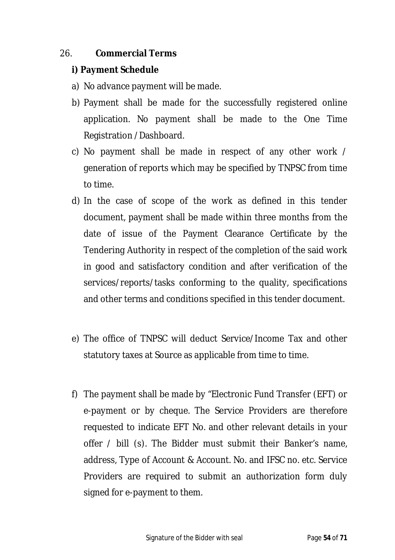#### 26. **Commercial Terms**

#### **i) Payment Schedule**

- a) No advance payment will be made.
- b) Payment shall be made for the successfully registered online application. No payment shall be made to the One Time Registration /Dashboard.
- c) No payment shall be made in respect of any other work / generation of reports which may be specified by TNPSC from time to time.
- d) In the case of scope of the work as defined in this tender document, payment shall be made within three months from the date of issue of the Payment Clearance Certificate by the Tendering Authority in respect of the completion of the said work in good and satisfactory condition and after verification of the services/reports/tasks conforming to the quality, specifications and other terms and conditions specified in this tender document.
- e) The office of TNPSC will deduct Service/Income Tax and other statutory taxes at Source as applicable from time to time.
- f) The payment shall be made by "Electronic Fund Transfer (EFT) or e-payment or by cheque. The Service Providers are therefore requested to indicate EFT No. and other relevant details in your offer / bill (s). The Bidder must submit their Banker's name, address, Type of Account & Account. No. and IFSC no. etc. Service Providers are required to submit an authorization form duly signed for e-payment to them.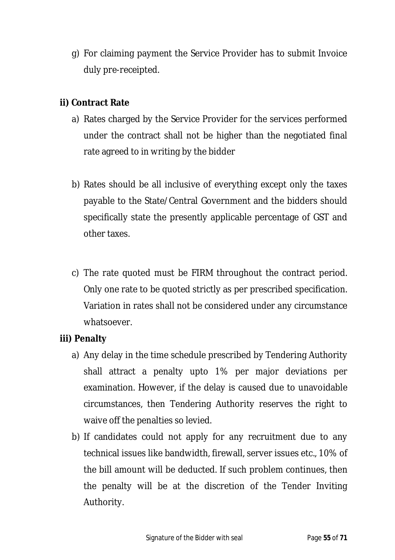g) For claiming payment the Service Provider has to submit Invoice duly pre-receipted.

#### **ii) Contract Rate**

- a) Rates charged by the Service Provider for the services performed under the contract shall not be higher than the negotiated final rate agreed to in writing by the bidder
- b) Rates should be all inclusive of everything except only the taxes payable to the State/Central Government and the bidders should specifically state the presently applicable percentage of GST and other taxes.
- c) The rate quoted must be FIRM throughout the contract period. Only one rate to be quoted strictly as per prescribed specification. Variation in rates shall not be considered under any circumstance whatsoever.

#### **iii) Penalty**

- a) Any delay in the time schedule prescribed by Tendering Authority shall attract a penalty upto 1% per major deviations per examination. However, if the delay is caused due to unavoidable circumstances, then Tendering Authority reserves the right to waive off the penalties so levied.
- b) If candidates could not apply for any recruitment due to any technical issues like bandwidth, firewall, server issues etc., 10% of the bill amount will be deducted. If such problem continues, then the penalty will be at the discretion of the Tender Inviting Authority.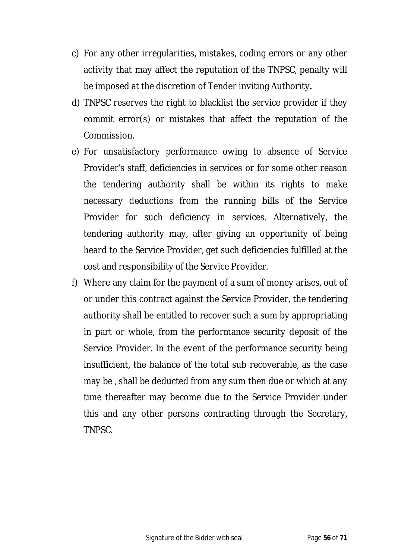- c) For any other irregularities, mistakes, coding errors or any other activity that may affect the reputation of the TNPSC, penalty will be imposed at the discretion of Tender inviting Authority**.**
- d) TNPSC reserves the right to blacklist the service provider if they commit error(s) or mistakes that affect the reputation of the Commission.
- e) For unsatisfactory performance owing to absence of Service Provider's staff, deficiencies in services or for some other reason the tendering authority shall be within its rights to make necessary deductions from the running bills of the Service Provider for such deficiency in services. Alternatively, the tendering authority may, after giving an opportunity of being heard to the Service Provider, get such deficiencies fulfilled at the cost and responsibility of the Service Provider.
- f) Where any claim for the payment of a sum of money arises, out of or under this contract against the Service Provider, the tendering authority shall be entitled to recover such a sum by appropriating in part or whole, from the performance security deposit of the Service Provider. In the event of the performance security being insufficient, the balance of the total sub recoverable, as the case may be , shall be deducted from any sum then due or which at any time thereafter may become due to the Service Provider under this and any other persons contracting through the Secretary, TNPSC.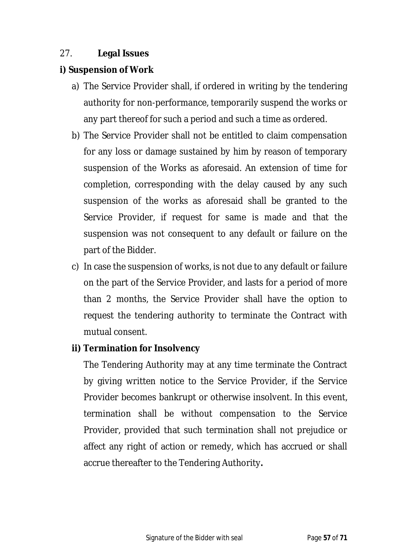## 27. **Legal Issues**

### **i) Suspension of Work**

- a) The Service Provider shall, if ordered in writing by the tendering authority for non-performance, temporarily suspend the works or any part thereof for such a period and such a time as ordered.
- b) The Service Provider shall not be entitled to claim compensation for any loss or damage sustained by him by reason of temporary suspension of the Works as aforesaid. An extension of time for completion, corresponding with the delay caused by any such suspension of the works as aforesaid shall be granted to the Service Provider, if request for same is made and that the suspension was not consequent to any default or failure on the part of the Bidder.
- c) In case the suspension of works, is not due to any default or failure on the part of the Service Provider, and lasts for a period of more than 2 months, the Service Provider shall have the option to request the tendering authority to terminate the Contract with mutual consent.

### **ii) Termination for Insolvency**

The Tendering Authority may at any time terminate the Contract by giving written notice to the Service Provider, if the Service Provider becomes bankrupt or otherwise insolvent. In this event, termination shall be without compensation to the Service Provider, provided that such termination shall not prejudice or affect any right of action or remedy, which has accrued or shall accrue thereafter to the Tendering Authority**.**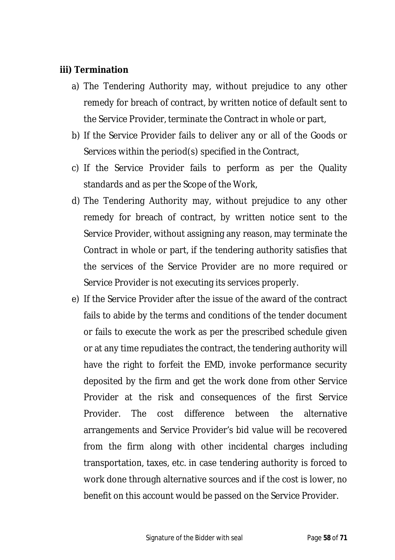#### **iii) Termination**

- a) The Tendering Authority may, without prejudice to any other remedy for breach of contract, by written notice of default sent to the Service Provider, terminate the Contract in whole or part,
- b) If the Service Provider fails to deliver any or all of the Goods or Services within the period(s) specified in the Contract,
- c) If the Service Provider fails to perform as per the Quality standards and as per the Scope of the Work,
- d) The Tendering Authority may, without prejudice to any other remedy for breach of contract, by written notice sent to the Service Provider, without assigning any reason, may terminate the Contract in whole or part, if the tendering authority satisfies that the services of the Service Provider are no more required or Service Provider is not executing its services properly.
- e) If the Service Provider after the issue of the award of the contract fails to abide by the terms and conditions of the tender document or fails to execute the work as per the prescribed schedule given or at any time repudiates the contract, the tendering authority will have the right to forfeit the EMD, invoke performance security deposited by the firm and get the work done from other Service Provider at the risk and consequences of the first Service Provider. The cost difference between the alternative arrangements and Service Provider's bid value will be recovered from the firm along with other incidental charges including transportation, taxes, etc. in case tendering authority is forced to work done through alternative sources and if the cost is lower, no benefit on this account would be passed on the Service Provider.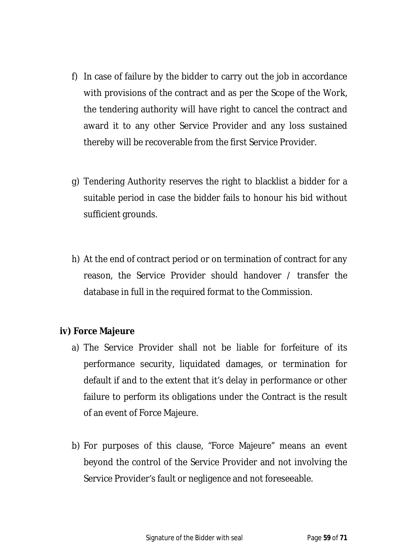- f) In case of failure by the bidder to carry out the job in accordance with provisions of the contract and as per the Scope of the Work, the tendering authority will have right to cancel the contract and award it to any other Service Provider and any loss sustained thereby will be recoverable from the first Service Provider.
- g) Tendering Authority reserves the right to blacklist a bidder for a suitable period in case the bidder fails to honour his bid without sufficient grounds.
- h) At the end of contract period or on termination of contract for any reason, the Service Provider should handover / transfer the database in full in the required format to the Commission.

#### **iv) Force Majeure**

- a) The Service Provider shall not be liable for forfeiture of its performance security, liquidated damages, or termination for default if and to the extent that it's delay in performance or other failure to perform its obligations under the Contract is the result of an event of Force Majeure.
- b) For purposes of this clause, "Force Majeure" means an event beyond the control of the Service Provider and not involving the Service Provider's fault or negligence and not foreseeable.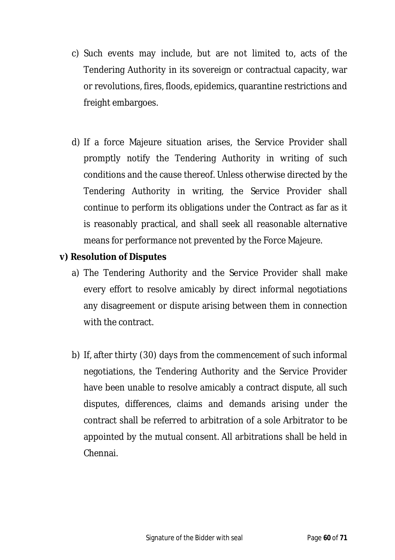- c) Such events may include, but are not limited to, acts of the Tendering Authority in its sovereign or contractual capacity, war or revolutions, fires, floods, epidemics, quarantine restrictions and freight embargoes.
- d) If a force Majeure situation arises, the Service Provider shall promptly notify the Tendering Authority in writing of such conditions and the cause thereof. Unless otherwise directed by the Tendering Authority in writing, the Service Provider shall continue to perform its obligations under the Contract as far as it is reasonably practical, and shall seek all reasonable alternative means for performance not prevented by the Force Majeure.

## **v) Resolution of Disputes**

- a) The Tendering Authority and the Service Provider shall make every effort to resolve amicably by direct informal negotiations any disagreement or dispute arising between them in connection with the contract.
- b) If, after thirty (30) days from the commencement of such informal negotiations, the Tendering Authority and the Service Provider have been unable to resolve amicably a contract dispute, all such disputes, differences, claims and demands arising under the contract shall be referred to arbitration of a sole Arbitrator to be appointed by the mutual consent. All arbitrations shall be held in Chennai.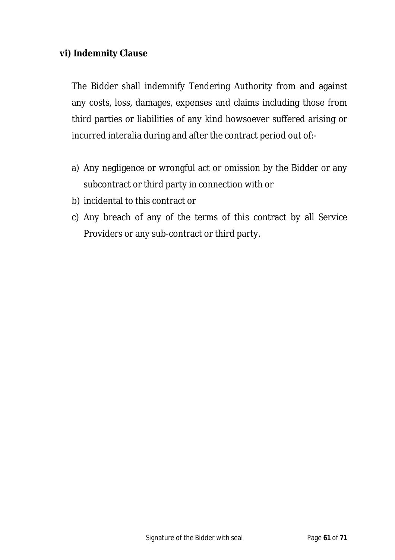#### **vi) Indemnity Clause**

The Bidder shall indemnify Tendering Authority from and against any costs, loss, damages, expenses and claims including those from third parties or liabilities of any kind howsoever suffered arising or incurred interalia during and after the contract period out of:-

- a) Any negligence or wrongful act or omission by the Bidder or any subcontract or third party in connection with or
- b) incidental to this contract or
- c) Any breach of any of the terms of this contract by all Service Providers or any sub-contract or third party.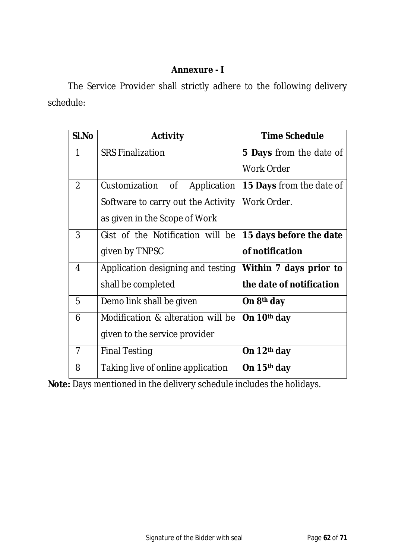#### **Annexure - I**

The Service Provider shall strictly adhere to the following delivery schedule:

| SI.No          | <b>Activity</b>                    | <b>Time Schedule</b>            |
|----------------|------------------------------------|---------------------------------|
| $\mathbf 1$    | <b>SRS Finalization</b>            | <b>5 Days</b> from the date of  |
|                |                                    | <b>Work Order</b>               |
| 2              | Customization of<br>Application    | <b>15 Days</b> from the date of |
|                | Software to carry out the Activity | Work Order.                     |
|                | as given in the Scope of Work      |                                 |
| 3              | Gist of the Notification will be   | 15 days before the date         |
|                | given by TNPSC                     | of notification                 |
| 4              | Application designing and testing  | Within 7 days prior to          |
|                | shall be completed                 | the date of notification        |
| 5              | Demo link shall be given           | On 8 <sup>th</sup> day          |
| 6              | Modification & alteration will be  | On 10 <sup>th</sup> day         |
|                | given to the service provider      |                                 |
| $\overline{7}$ | <b>Final Testing</b>               | On 12 <sup>th</sup> day         |
| 8              | Taking live of online application  | On 15 <sup>th</sup> day         |

**Note:** Days mentioned in the delivery schedule includes the holidays.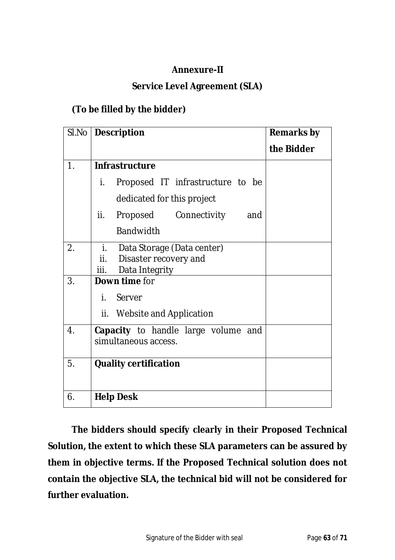### **Annexure-II**

#### **Service Level Agreement (SLA)**

### **(To be filled by the bidder)**

| SI.No            | <b>Description</b>                                     | <b>Remarks by</b> |
|------------------|--------------------------------------------------------|-------------------|
|                  |                                                        | the Bidder        |
| $\mathbf{1}$ .   | <b>Infrastructure</b>                                  |                   |
|                  | İ.<br>Proposed IT infrastructure to be                 |                   |
|                  | dedicated for this project                             |                   |
|                  | ii.<br>Proposed Connectivity<br>and                    |                   |
|                  | <b>Bandwidth</b>                                       |                   |
| 2.               | i.<br>Data Storage (Data center)                       |                   |
|                  | Disaster recovery and<br>ii.<br>iii.<br>Data Integrity |                   |
| 3.               | Down time for                                          |                   |
|                  | i.<br>Server                                           |                   |
|                  | ii.<br>Website and Application                         |                   |
| $\overline{4}$ . | Capacity to handle large volume and                    |                   |
|                  | simultaneous access.                                   |                   |
| 5.               | <b>Quality certification</b>                           |                   |
|                  |                                                        |                   |
| 6.               | <b>Help Desk</b>                                       |                   |

**The bidders should specify clearly in their Proposed Technical Solution, the extent to which these SLA parameters can be assured by them in objective terms. If the Proposed Technical solution does not contain the objective SLA, the technical bid will not be considered for further evaluation.**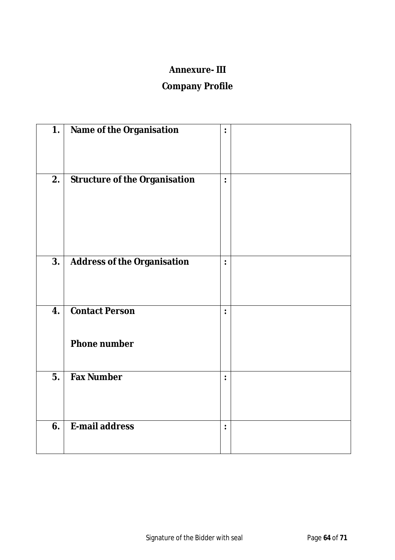#### **Annexure- III**

# **Company Profile**

| 1. | Name of the Organisation                     | $\ddot{\cdot}$ |  |
|----|----------------------------------------------|----------------|--|
| 2. | <b>Structure of the Organisation</b>         | $\ddot{\cdot}$ |  |
| 3. | <b>Address of the Organisation</b>           | $\ddot{\cdot}$ |  |
| 4. | <b>Contact Person</b><br><b>Phone number</b> | $\ddot{\cdot}$ |  |
| 5. | <b>Fax Number</b>                            |                |  |
| 6. | E-mail address                               | $\ddot{\cdot}$ |  |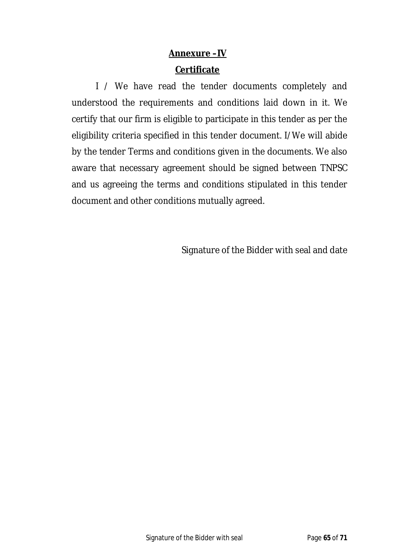## **Annexure –IV Certificate**

I / We have read the tender documents completely and understood the requirements and conditions laid down in it. We certify that our firm is eligible to participate in this tender as per the eligibility criteria specified in this tender document. I/We will abide by the tender Terms and conditions given in the documents. We also aware that necessary agreement should be signed between TNPSC and us agreeing the terms and conditions stipulated in this tender document and other conditions mutually agreed.

Signature of the Bidder with seal and date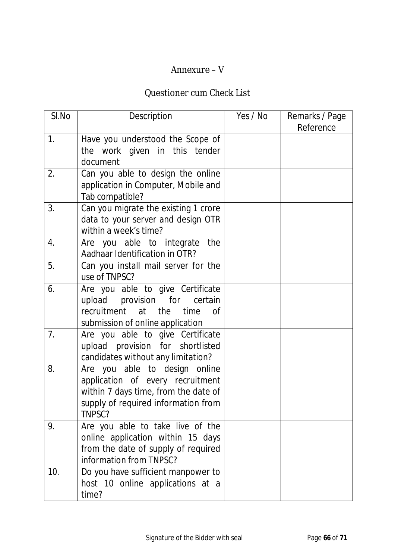#### Annexure – V

### Questioner cum Check List

| SI.No | Description                                                                                                                                                | Yes / No | Remarks / Page<br>Reference |
|-------|------------------------------------------------------------------------------------------------------------------------------------------------------------|----------|-----------------------------|
| 1.    | Have you understood the Scope of<br>the work given in this tender<br>document                                                                              |          |                             |
| 2.    | Can you able to design the online<br>application in Computer, Mobile and<br>Tab compatible?                                                                |          |                             |
| 3.    | Can you migrate the existing 1 crore<br>data to your server and design OTR<br>within a week's time?                                                        |          |                             |
| 4.    | Are you able to integrate<br>the<br>Aadhaar Identification in OTR?                                                                                         |          |                             |
| 5.    | Can you install mail server for the<br>use of TNPSC?                                                                                                       |          |                             |
| 6.    | Are you able to give Certificate<br>upload provision for<br>certain<br>recruitment at the<br>time<br>Ωf<br>submission of online application                |          |                             |
| 7.    | Are you able to give Certificate<br>upload provision for shortlisted<br>candidates without any limitation?                                                 |          |                             |
| 8.    | Are you able to design online<br>application of every recruitment<br>within 7 days time, from the date of<br>supply of required information from<br>TNPSC? |          |                             |
| 9.    | Are you able to take live of the<br>online application within 15 days<br>from the date of supply of required<br>information from TNPSC?                    |          |                             |
| 10.   | Do you have sufficient manpower to<br>host 10 online applications at a<br>time?                                                                            |          |                             |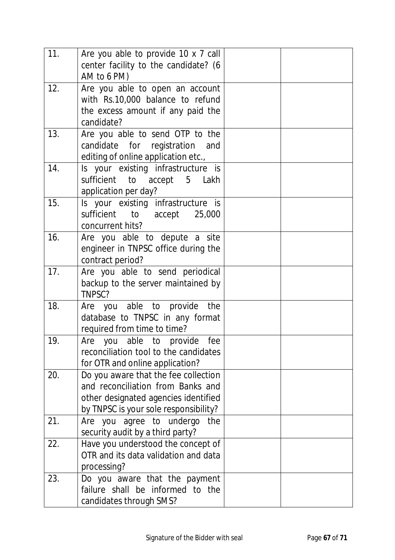| 11. | Are you able to provide 10 x 7 call<br>center facility to the candidate? (6<br>AM to 6 PM)                                                                 |  |
|-----|------------------------------------------------------------------------------------------------------------------------------------------------------------|--|
| 12. | Are you able to open an account<br>with Rs.10,000 balance to refund<br>the excess amount if any paid the<br>candidate?                                     |  |
| 13. | Are you able to send OTP to the<br>candidate for registration and<br>editing of online application etc.,                                                   |  |
| 14. | Is your existing infrastructure is<br>sufficient to accept 5 Lakh<br>application per day?                                                                  |  |
| 15. | Is your existing infrastructure is<br>sufficient to accept 25,000<br>concurrent hits?                                                                      |  |
| 16. | Are you able to depute a site<br>engineer in TNPSC office during the<br>contract period?                                                                   |  |
| 17. | Are you able to send periodical<br>backup to the server maintained by<br>TNPSC?                                                                            |  |
| 18. | Are you able to provide<br>the<br>database to TNPSC in any format<br>required from time to time?                                                           |  |
| 19. | fee<br>Are you able to provide<br>reconciliation tool to the candidates<br>for OTR and online application?                                                 |  |
| 20. | Do you aware that the fee collection<br>and reconciliation from Banks and<br>other designated agencies identified<br>by TNPSC is your sole responsibility? |  |
| 21. | Are you agree to undergo<br>the<br>security audit by a third party?                                                                                        |  |
| 22. | Have you understood the concept of<br>OTR and its data validation and data<br>processing?                                                                  |  |
| 23. | Do you aware that the payment<br>failure shall be informed to the<br>candidates through SMS?                                                               |  |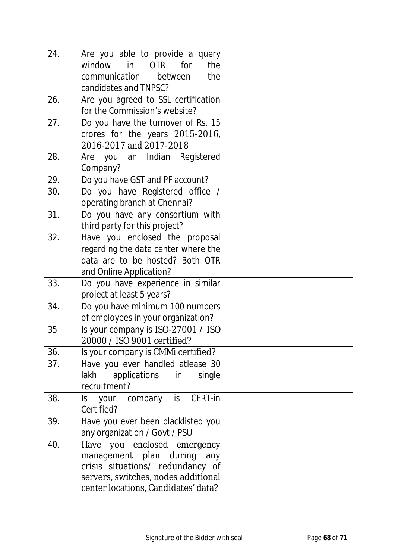| 24. | Are you able to provide a query                                    |  |
|-----|--------------------------------------------------------------------|--|
|     | window<br>OTR for<br>in<br>the                                     |  |
|     | communication between<br>the                                       |  |
|     | candidates and TNPSC?                                              |  |
| 26. | Are you agreed to SSL certification                                |  |
|     | for the Commission's website?                                      |  |
| 27. | Do you have the turnover of Rs. 15                                 |  |
|     | crores for the years 2015-2016,<br>2016-2017 and 2017-2018         |  |
| 28. | Are you an Indian Registered                                       |  |
|     | Company?                                                           |  |
| 29. | Do you have GST and PF account?                                    |  |
| 30. | Do you have Registered office /                                    |  |
|     | operating branch at Chennai?                                       |  |
| 31. | Do you have any consortium with                                    |  |
|     | third party for this project?                                      |  |
| 32. | Have you enclosed the proposal                                     |  |
|     | regarding the data center where the                                |  |
|     | data are to be hosted? Both OTR                                    |  |
|     | and Online Application?                                            |  |
| 33. | Do you have experience in similar                                  |  |
|     | project at least 5 years?                                          |  |
| 34. | Do you have minimum 100 numbers                                    |  |
|     | of employees in your organization?                                 |  |
| 35  | Is your company is ISO-27001 / ISO                                 |  |
|     | 20000 / ISO 9001 certified?                                        |  |
| 36. | Is your company is CMMi certified?                                 |  |
| 37. | Have you ever handled atlease 30<br>lakh applications in<br>single |  |
|     | recruitment?                                                       |  |
| 38. | Is your company is CERT-in                                         |  |
|     | Certified?                                                         |  |
| 39. | Have you ever been blacklisted you                                 |  |
|     | any organization / Govt / PSU                                      |  |
| 40. | Have you enclosed emergency                                        |  |
|     | management plan during any                                         |  |
|     | crisis situations/ redundancy of                                   |  |
|     | servers, switches, nodes additional                                |  |
|     | center locations, Candidates' data?                                |  |
|     |                                                                    |  |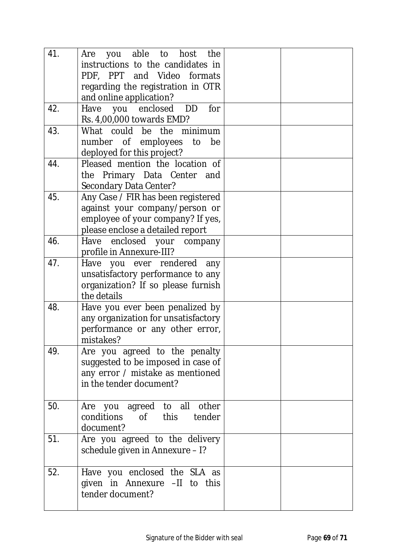| 41. | able to host<br>the<br>you<br>Are<br>instructions to the candidates in<br>PDF, PPT and Video formats<br>regarding the registration in OTR<br>and online application? |  |
|-----|----------------------------------------------------------------------------------------------------------------------------------------------------------------------|--|
| 42. | Have you enclosed DD<br>for<br>Rs. 4,00,000 towards EMD?                                                                                                             |  |
| 43. | What could be the minimum<br>number of employees to<br>be<br>deployed for this project?                                                                              |  |
| 44. | Pleased mention the location of<br>the Primary Data Center and<br>Secondary Data Center?                                                                             |  |
| 45. | Any Case / FIR has been registered<br>against your company/person or<br>employee of your company? If yes,<br>please enclose a detailed report                        |  |
| 46. | Have enclosed your company<br>profile in Annexure-III?                                                                                                               |  |
| 47. | Have you ever rendered any<br>unsatisfactory performance to any<br>organization? If so please furnish<br>the details                                                 |  |
| 48. | Have you ever been penalized by<br>any organization for unsatisfactory<br>performance or any other error,<br>mistakes?                                               |  |
| 49. | Are you agreed to the penalty<br>suggested to be imposed in case of<br>any error / mistake as mentioned<br>in the tender document?                                   |  |
| 50. | Are you agreed to all other<br>conditions of this tender<br>document?                                                                                                |  |
| 51. | Are you agreed to the delivery<br>schedule given in Annexure - I?                                                                                                    |  |
| 52. | Have you enclosed the SLA as<br>given in Annexure -II to this<br>tender document?                                                                                    |  |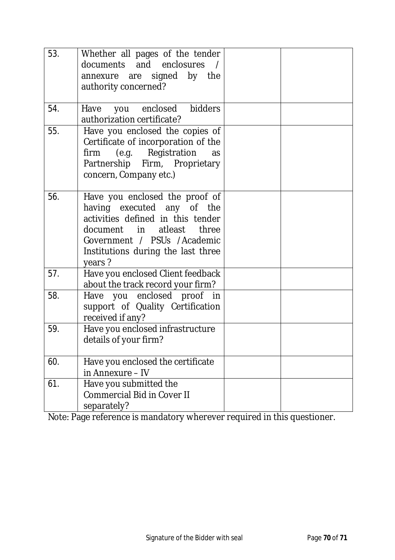| 53. | Whether all pages of the tender<br>documents and enclosures /<br>annexure are signed by the<br>authority concerned?                                                                                              |  |
|-----|------------------------------------------------------------------------------------------------------------------------------------------------------------------------------------------------------------------|--|
| 54. | Have you enclosed bidders<br>authorization certificate?                                                                                                                                                          |  |
| 55. | Have you enclosed the copies of<br>Certificate of incorporation of the<br>firm (e.g. Registration<br>as<br>Partnership Firm, Proprietary<br>concern, Company etc.)                                               |  |
| 56. | Have you enclosed the proof of<br>having executed any of the<br>activities defined in this tender<br>document in atleast<br>three<br>Government / PSUs /Academic<br>Institutions during the last three<br>years? |  |
| 57. | Have you enclosed Client feedback<br>about the track record your firm?                                                                                                                                           |  |
| 58. | Have you enclosed proof in<br>support of Quality Certification<br>received if any?                                                                                                                               |  |
| 59. | Have you enclosed infrastructure<br>details of your firm?                                                                                                                                                        |  |
| 60. | Have you enclosed the certificate<br>in Annexure - IV                                                                                                                                                            |  |
| 61. | Have you submitted the<br><b>Commercial Bid in Cover II</b><br>separately?                                                                                                                                       |  |

Note: Page reference is mandatory wherever required in this questioner.